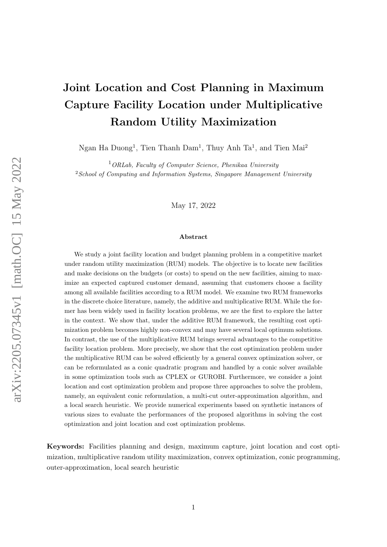# Joint Location and Cost Planning in Maximum Capture Facility Location under Multiplicative Random Utility Maximization

Ngan Ha Duong<sup>1</sup>, Tien Thanh Dam<sup>1</sup>, Thuy Anh Ta<sup>1</sup>, and Tien Mai<sup>2</sup>

 $1$ ORLab, Faculty of Computer Science, Phenikaa University  $2$ School of Computing and Information Systems, Singapore Management University

May 17, 2022

#### Abstract

We study a joint facility location and budget planning problem in a competitive market under random utility maximization (RUM) models. The objective is to locate new facilities and make decisions on the budgets (or costs) to spend on the new facilities, aiming to maximize an expected captured customer demand, assuming that customers choose a facility among all available facilities according to a RUM model. We examine two RUM frameworks in the discrete choice literature, namely, the additive and multiplicative RUM. While the former has been widely used in facility location problems, we are the first to explore the latter in the context. We show that, under the additive RUM framework, the resulting cost optimization problem becomes highly non-convex and may have several local optimum solutions. In contrast, the use of the multiplicative RUM brings several advantages to the competitive facility location problem. More precisely, we show that the cost optimization problem under the multiplicative RUM can be solved efficiently by a general convex optimization solver, or can be reformulated as a conic quadratic program and handled by a conic solver available in some optimization tools such as CPLEX or GUROBI. Furthermore, we consider a joint location and cost optimization problem and propose three approaches to solve the problem, namely, an equivalent conic reformulation, a multi-cut outer-approximation algorithm, and a local search heuristic. We provide numerical experiments based on synthetic instances of various sizes to evaluate the performances of the proposed algorithms in solving the cost optimization and joint location and cost optimization problems.

Keywords: Facilities planning and design, maximum capture, joint location and cost optimization, multiplicative random utility maximization, convex optimization, conic programming, outer-approximation, local search heuristic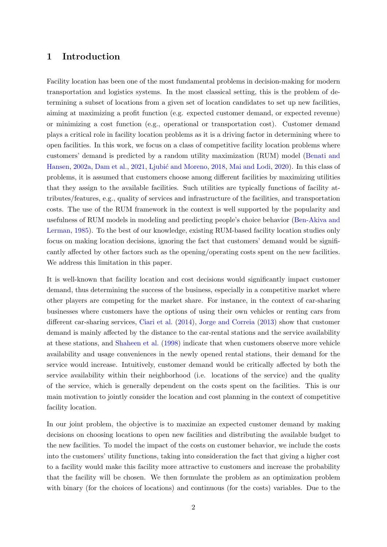## 1 Introduction

Facility location has been one of the most fundamental problems in decision-making for modern transportation and logistics systems. In the most classical setting, this is the problem of determining a subset of locations from a given set of location candidates to set up new facilities, aiming at maximizing a profit function (e.g. expected customer demand, or expected revenue) or minimizing a cost function (e.g., operational or transportation cost). Customer demand plays a critical role in facility location problems as it is a driving factor in determining where to open facilities. In this work, we focus on a class of competitive facility location problems where customers' demand is predicted by a random utility maximization (RUM) model [\(Benati and](#page-27-0) [Hansen,](#page-27-0) [2002a,](#page-27-0) [Dam et al.,](#page-28-0) [2021,](#page-28-0) Ljubić and Moreno, [2018,](#page-29-0) [Mai and Lodi,](#page-29-1) [2020\)](#page-29-1). In this class of problems, it is assumed that customers choose among different facilities by maximizing utilities that they assign to the available facilities. Such utilities are typically functions of facility attributes/features, e.g., quality of services and infrastructure of the facilities, and transportation costs. The use of the RUM framework in the context is well supported by the popularity and usefulness of RUM models in modeling and predicting people's choice behavior [\(Ben-Akiva and](#page-27-1) [Lerman,](#page-27-1) [1985\)](#page-27-1). To the best of our knowledge, existing RUM-based facility location studies only focus on making location decisions, ignoring the fact that customers' demand would be significantly affected by other factors such as the opening/operating costs spent on the new facilities. We address this limitation in this paper.

It is well-known that facility location and cost decisions would significantly impact customer demand, thus determining the success of the business, especially in a competitive market where other players are competing for the market share. For instance, in the context of car-sharing businesses where customers have the options of using their own vehicles or renting cars from different car-sharing services, [Ciari et al.](#page-27-2) [\(2014\)](#page-27-2), [Jorge and Correia](#page-28-1) [\(2013\)](#page-28-1) show that customer demand is mainly affected by the distance to the car-rental stations and the service availability at these stations, and [Shaheen et al.](#page-29-2) [\(1998\)](#page-29-2) indicate that when customers observe more vehicle availability and usage conveniences in the newly opened rental stations, their demand for the service would increase. Intuitively, customer demand would be critically affected by both the service availability within their neighborhood (i.e. locations of the service) and the quality of the service, which is generally dependent on the costs spent on the facilities. This is our main motivation to jointly consider the location and cost planning in the context of competitive facility location.

In our joint problem, the objective is to maximize an expected customer demand by making decisions on choosing locations to open new facilities and distributing the available budget to the new facilities. To model the impact of the costs on customer behavior, we include the costs into the customers' utility functions, taking into consideration the fact that giving a higher cost to a facility would make this facility more attractive to customers and increase the probability that the facility will be chosen. We then formulate the problem as an optimization problem with binary (for the choices of locations) and continuous (for the costs) variables. Due to the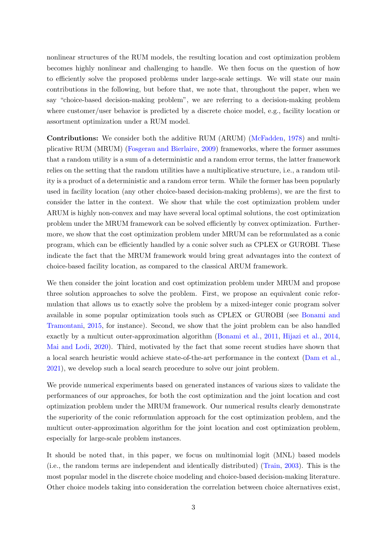nonlinear structures of the RUM models, the resulting location and cost optimization problem becomes highly nonlinear and challenging to handle. We then focus on the question of how to efficiently solve the proposed problems under large-scale settings. We will state our main contributions in the following, but before that, we note that, throughout the paper, when we say "choice-based decision-making problem", we are referring to a decision-making problem where customer/user behavior is predicted by a discrete choice model, e.g., facility location or assortment optimization under a RUM model.

Contributions: We consider both the additive RUM (ARUM) [\(McFadden,](#page-29-3) [1978\)](#page-29-3) and multiplicative RUM (MRUM) [\(Fosgerau and Bierlaire,](#page-28-2) [2009\)](#page-28-2) frameworks, where the former assumes that a random utility is a sum of a deterministic and a random error terms, the latter framework relies on the setting that the random utilities have a multiplicative structure, i.e., a random utility is a product of a deterministic and a random error term. While the former has been popularly used in facility location (any other choice-based decision-making problems), we are the first to consider the latter in the context. We show that while the cost optimization problem under ARUM is highly non-convex and may have several local optimal solutions, the cost optimization problem under the MRUM framework can be solved efficiently by convex optimization. Furthermore, we show that the cost optimization problem under MRUM can be reformulated as a conic program, which can be efficiently handled by a conic solver such as CPLEX or GUROBI. These indicate the fact that the MRUM framework would bring great advantages into the context of choice-based facility location, as compared to the classical ARUM framework.

We then consider the joint location and cost optimization problem under MRUM and propose three solution approaches to solve the problem. First, we propose an equivalent conic reformulation that allows us to exactly solve the problem by a mixed-integer conic program solver available in some popular optimization tools such as CPLEX or GUROBI (see [Bonami and](#page-27-3) [Tramontani,](#page-27-3) [2015,](#page-27-3) for instance). Second, we show that the joint problem can be also handled exactly by a multicut outer-approximation algorithm [\(Bonami et al.,](#page-27-4) [2011,](#page-27-4) [Hijazi et al.,](#page-28-3) [2014,](#page-28-3) [Mai and Lodi,](#page-29-1) [2020\)](#page-29-1). Third, motivated by the fact that some recent studies have shown that a local search heuristic would achieve state-of-the-art performance in the context [\(Dam et al.,](#page-28-0) [2021\)](#page-28-0), we develop such a local search procedure to solve our joint problem.

We provide numerical experiments based on generated instances of various sizes to validate the performances of our approaches, for both the cost optimization and the joint location and cost optimization problem under the MRUM framework. Our numerical results clearly demonstrate the superiority of the conic reformulation approach for the cost optimization problem, and the multicut outer-approximation algorithm for the joint location and cost optimization problem, especially for large-scale problem instances.

It should be noted that, in this paper, we focus on multinomial logit (MNL) based models (i.e., the random terms are independent and identically distributed) [\(Train,](#page-30-0) [2003\)](#page-30-0). This is the most popular model in the discrete choice modeling and choice-based decision-making literature. Other choice models taking into consideration the correlation between choice alternatives exist,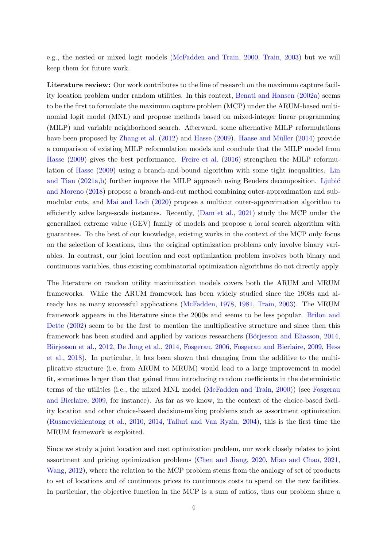e.g., the nested or mixed logit models [\(McFadden and Train,](#page-29-4) [2000,](#page-29-4) [Train,](#page-30-0) [2003\)](#page-30-0) but we will keep them for future work.

Literature review: Our work contributes to the line of research on the maximum capture facility location problem under random utilities. In this context, [Benati and Hansen](#page-27-0) [\(2002a\)](#page-27-0) seems to be the first to formulate the maximum capture problem (MCP) under the ARUM-based multinomial logit model (MNL) and propose methods based on mixed-integer linear programming (MILP) and variable neighborhood search. Afterward, some alternative MILP reformulations have been proposed by [Zhang et al.](#page-30-1) [\(2012\)](#page-30-1) and [Hasse](#page-28-4) [\(2009\)](#page-28-4). Haase and Müller [\(2014\)](#page-28-5) provide a comparison of existing MILP reformulation models and conclude that the MILP model from [Hasse](#page-28-4) [\(2009\)](#page-28-4) gives the best performance. [Freire et al.](#page-28-6) [\(2016\)](#page-28-6) strengthen the MILP reformulation of [Hasse](#page-28-4) [\(2009\)](#page-28-4) using a branch-and-bound algorithm with some tight inequalities. [Lin](#page-28-7) [and Tian](#page-28-7)  $(2021a,b)$  $(2021a,b)$  further improve the MILP approach using Benders decomposition. Ljubić [and Moreno](#page-29-0) [\(2018\)](#page-29-0) propose a branch-and-cut method combining outer-approximation and submodular cuts, and [Mai and Lodi](#page-29-1) [\(2020\)](#page-29-1) propose a multicut outer-approximation algorithm to efficiently solve large-scale instances. Recently, [\(Dam et al.,](#page-28-0) [2021\)](#page-28-0) study the MCP under the generalized extreme value (GEV) family of models and propose a local search algorithm with guarantees. To the best of our knowledge, existing works in the context of the MCP only focus on the selection of locations, thus the original optimization problems only involve binary variables. In contrast, our joint location and cost optimization problem involves both binary and continuous variables, thus existing combinatorial optimization algorithms do not directly apply.

The literature on random utility maximization models covers both the ARUM and MRUM frameworks. While the ARUM framework has been widely studied since the 1908s and already has as many successful applications [\(McFadden,](#page-29-3) [1978,](#page-29-3) [1981,](#page-29-6) [Train,](#page-30-0) [2003\)](#page-30-0). The MRUM framework appears in the literature since the 2000s and seems to be less popular. [Brilon and](#page-27-5) [Dette](#page-27-5) [\(2002\)](#page-27-5) seem to be the first to mention the multiplicative structure and since then this framework has been studied and applied by various researchers (Börjesson and Eliasson, [2014,](#page-27-6) Börjesson et al., [2012,](#page-27-7) [De Jong et al.,](#page-28-8) [2014,](#page-28-8) [Fosgerau,](#page-28-9) [2006,](#page-28-9) [Fosgerau and Bierlaire,](#page-28-2) [2009,](#page-28-2) [Hess](#page-28-10) [et al.,](#page-28-10) [2018\)](#page-28-10). In particular, it has been shown that changing from the additive to the multiplicative structure (i.e, from ARUM to MRUM) would lead to a large improvement in model fit, sometimes larger than that gained from introducing random coefficients in the deterministic terms of the utilities (i.e., the mixed MNL model [\(McFadden and Train,](#page-29-4) [2000\)](#page-29-4)) (see [Fosgerau](#page-28-2) [and Bierlaire,](#page-28-2) [2009,](#page-28-2) for instance). As far as we know, in the context of the choice-based facility location and other choice-based decision-making problems such as assortment optimization [\(Rusmevichientong et al.,](#page-29-7) [2010,](#page-29-7) [2014,](#page-29-8) [Talluri and Van Ryzin,](#page-29-9) [2004\)](#page-29-9), this is the first time the MRUM framework is exploited.

Since we study a joint location and cost optimization problem, our work closely relates to joint assortment and pricing optimization problems [\(Chen and Jiang,](#page-27-8) [2020,](#page-27-8) [Miao and Chao,](#page-29-10) [2021,](#page-29-10) [Wang,](#page-30-2) [2012\)](#page-30-2), where the relation to the MCP problem stems from the analogy of set of products to set of locations and of continuous prices to continuous costs to spend on the new facilities. In particular, the objective function in the MCP is a sum of ratios, thus our problem share a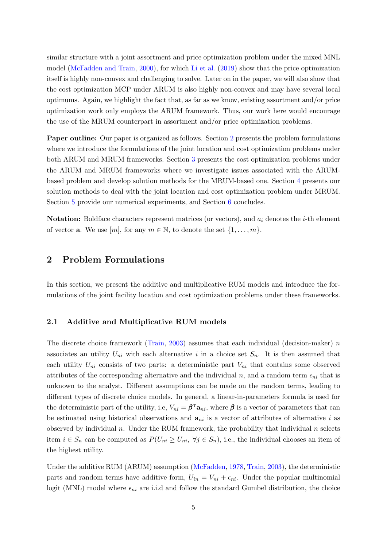similar structure with a joint assortment and price optimization problem under the mixed MNL model [\(McFadden and Train,](#page-29-4) [2000\)](#page-29-4), for which [Li et al.](#page-28-11) [\(2019\)](#page-28-11) show that the price optimization itself is highly non-convex and challenging to solve. Later on in the paper, we will also show that the cost optimization MCP under ARUM is also highly non-convex and may have several local optimums. Again, we highlight the fact that, as far as we know, existing assortment and/or price optimization work only employs the ARUM framework. Thus, our work here would encourage the use of the MRUM counterpart in assortment and/or price optimization problems.

Paper outline: Our paper is organized as follows. Section [2](#page-4-0) presents the problem formulations where we introduce the formulations of the joint location and cost optimization problems under both ARUM and MRUM frameworks. Section [3](#page-8-0) presents the cost optimization problems under the ARUM and MRUM frameworks where we investigate issues associated with the ARUMbased problem and develop solution methods for the MRUM-based one. Section [4](#page-11-0) presents our solution methods to deal with the joint location and cost optimization problem under MRUM. Section [5](#page-18-0) provide our numerical experiments, and Section [6](#page-26-0) concludes.

**Notation:** Boldface characters represent matrices (or vectors), and  $a_i$  denotes the *i*-th element of vector **a**. We use  $[m]$ , for any  $m \in \mathbb{N}$ , to denote the set  $\{1, \ldots, m\}$ .

## <span id="page-4-0"></span>2 Problem Formulations

In this section, we present the additive and multiplicative RUM models and introduce the formulations of the joint facility location and cost optimization problems under these frameworks.

### 2.1 Additive and Multiplicative RUM models

The discrete choice framework [\(Train,](#page-30-0)  $2003$ ) assumes that each individual (decision-maker) n associates an utility  $U_{ni}$  with each alternative i in a choice set  $S_n$ . It is then assumed that each utility  $U_{ni}$  consists of two parts: a deterministic part  $V_{ni}$  that contains some observed attributes of the corresponding alternative and the individual n, and a random term  $\epsilon_{ni}$  that is unknown to the analyst. Different assumptions can be made on the random terms, leading to different types of discrete choice models. In general, a linear-in-parameters formula is used for the deterministic part of the utility, i.e,  $V_{ni} = \beta^{T} \mathbf{a}_{ni}$ , where  $\beta$  is a vector of parameters that can be estimated using historical observations and  $a_{ni}$  is a vector of attributes of alternative i as observed by individual n. Under the RUM framework, the probability that individual n selects item  $i \in S_n$  can be computed as  $P(U_{ni} \geq U_{ni}, \forall j \in S_n)$ , i.e., the individual chooses an item of the highest utility.

Under the additive RUM (ARUM) assumption [\(McFadden,](#page-29-3) [1978,](#page-29-3) [Train,](#page-30-0) [2003\)](#page-30-0), the deterministic parts and random terms have additive form,  $U_{in} = V_{ni} + \epsilon_{ni}$ . Under the popular multinomial logit (MNL) model where  $\epsilon_{ni}$  are i.i.d and follow the standard Gumbel distribution, the choice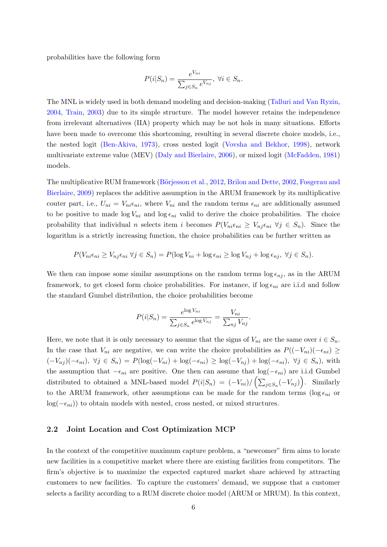probabilities have the following form

$$
P(i|S_n) = \frac{e^{V_{ni}}}{\sum_{j \in S_n} e^{V_{nj}}}, \ \forall i \in S_n.
$$

The MNL is widely used in both demand modeling and decision-making [\(Talluri and Van Ryzin,](#page-29-9) [2004,](#page-29-9) [Train,](#page-30-0) [2003\)](#page-30-0) due to its simple structure. The model however retains the independence from irrelevant alternatives (IIA) property which may be not hols in many situations. Efforts have been made to overcome this shortcoming, resulting in several discrete choice models, i.e., the nested logit [\(Ben-Akiva,](#page-27-9) [1973\)](#page-27-9), cross nested logit [\(Vovsha and Bekhor,](#page-30-3) [1998\)](#page-30-3), network multivariate extreme value (MEV) [\(Daly and Bierlaire,](#page-28-12) [2006\)](#page-28-12), or mixed logit [\(McFadden,](#page-29-6) [1981\)](#page-29-6) models.

The multiplicative RUM framework (Börjesson et al., [2012,](#page-27-7) [Brilon and Dette,](#page-27-5) [2002,](#page-27-5) [Fosgerau and](#page-28-2) [Bierlaire,](#page-28-2) [2009\)](#page-28-2) replaces the additive assumption in the ARUM framework by its multiplicative couter part, i.e.,  $U_{ni} = V_{ni} \epsilon_{ni}$ , where  $V_{ni}$  and the random terms  $\epsilon_{ni}$  are additionally assumed to be positive to made  $\log V_{ni}$  and  $\log \epsilon_{ni}$  valid to derive the choice probabilities. The choice probability that individual n selects item i becomes  $P(V_{ni}\epsilon_{ni} \geq V_{nj}\epsilon_{ni} \ \forall j \in S_n)$ . Since the logarithm is a strictly increasing function, the choice probabilities can be further written as

$$
P(V_{ni}\epsilon_{ni}\geq V_{nj}\epsilon_{ni}\ \forall j\in S_n)=P(\log V_{ni}+\log \epsilon_{ni}\geq \log V_{nj}+\log \epsilon_{nj},\ \forall j\in S_n).
$$

We then can impose some similar assumptions on the random terms  $\log \epsilon_{nj}$ , as in the ARUM framework, to get closed form choice probabilities. For instance, if  $\log \epsilon_{ni}$  are i.i.d and follow the standard Gumbel distribution, the choice probabilities become

$$
P(i|S_n) = \frac{e^{\log V_{ni}}}{\sum_{j \in S_n} e^{\log V_{nj}}} = \frac{V_{ni}}{\sum_{nj} V_{nj}}
$$

.

Here, we note that it is only necessary to assume that the signs of  $V_{ni}$  are the same over  $i \in S_n$ . In the case that  $V_{ni}$  are negative, we can write the choice probabilities as  $P((-V_{ni})(-\epsilon_{ni}) \ge$  $(-V_{nj})(-\epsilon_{ni}), \ \forall j \in S_n$ ) =  $P(\log(-V_{ni}) + \log(-\epsilon_{ni}) \geq \log(-V_{nj}) + \log(-\epsilon_{ni}), \ \forall j \in S_n$ , with the assumption that  $-\epsilon_{ni}$  are positive. One then can assume that  $log(-\epsilon_{ni})$  are i.i.d Gumbel distributed to obtained a MNL-based model  $P(i|S_n) = (-V_{ni})/\left(\sum_{j \in S_n} (-V_{nj})\right)$ . Similarly to the ARUM framework, other assumptions can be made for the random terms ( $\log \epsilon_{ni}$  or  $log(-\epsilon_{ni})$  to obtain models with nested, cross nested, or mixed structures.

#### 2.2 Joint Location and Cost Optimization MCP

In the context of the competitive maximum capture problem, a "newcomer" firm aims to locate new facilities in a competitive market where there are existing facilities from competitors. The firm's objective is to maximize the expected captured market share achieved by attracting customers to new facilities. To capture the customers' demand, we suppose that a customer selects a facility according to a RUM discrete choice model (ARUM or MRUM). In this context,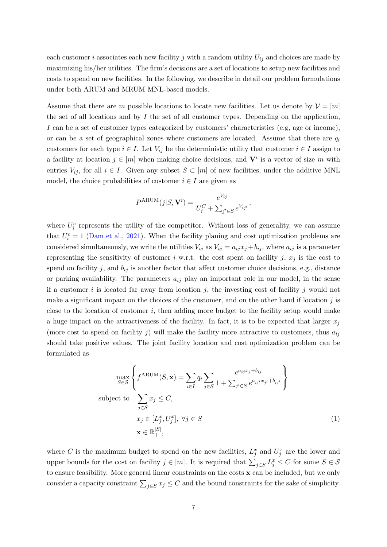each customer i associates each new facility j with a random utility  $U_{ij}$  and choices are made by maximizing his/her utilities. The firm's decisions are a set of locations to setup new facilities and costs to spend on new facilities. In the following, we describe in detail our problem formulations under both ARUM and MRUM MNL-based models.

Assume that there are m possible locations to locate new facilities. Let us denote by  $\mathcal{V} = [m]$ the set of all locations and by I the set of all customer types. Depending on the application, I can be a set of customer types categorized by customers' characteristics (e.g, age or income), or can be a set of geographical zones where customers are located. Assume that there are  $q_i$ customers for each type  $i \in I$ . Let  $V_{ij}$  be the deterministic utility that customer  $i \in I$  assign to a facility at location  $j \in [m]$  when making choice decisions, and  $V^i$  is a vector of size m with entries  $V_{ij}$ , for all  $i \in I$ . Given any subset  $S \subset [m]$  of new facilities, under the additive MNL model, the choice probabilities of customer  $i \in I$  are given as

$$
P^{\text{ARUM}}(j|S,\mathbf{V}^i) = \frac{e^{V_{ij}}}{U_i^C + \sum_{j' \in S} e^{V_{ij'}}},
$$

where  $U_i^c$  represents the utility of the competitor. Without loss of generality, we can assume that  $U_i^c = 1$  [\(Dam et al.,](#page-28-0) [2021\)](#page-28-0). When the facility planing and cost optimization problems are considered simultaneously, we write the utilities  $V_{ij}$  as  $V_{ij} = a_{ij}x_j + b_{ij}$ , where  $a_{ij}$  is a parameter representing the sensitivity of customer i w.r.t. the cost spent on facility j,  $x_j$  is the cost to spend on facility  $j$ , and  $b_{ij}$  is another factor that affect customer choice decisions, e.g., distance or parking availability. The parameters  $a_{ij}$  play an important role in our model, in the sense if a customer i is located far away from location j, the investing cost of facility j would not make a significant impact on the choices of the customer, and on the other hand if location  $j$  is close to the location of customer i, then adding more budget to the facility setup would make a huge impact on the attractiveness of the facility. In fact, it is to be expected that larger  $x_j$ (more cost to spend on facility  $j$ ) will make the facility more attractive to customers, thus  $a_{ij}$ should take positive values. The joint facility location and cost optimization problem can be formulated as

<span id="page-6-0"></span>
$$
\max_{S \in \mathcal{S}} \left\{ f^{\text{ARUM}}(S, \mathbf{x}) = \sum_{i \in I} q_i \sum_{j \in S} \frac{e^{a_{ij} x_j + b_{ij}}}{1 + \sum_{j' \in S} e^{a_{ij'} x_{j'} + b_{ij'}}} \right\}
$$
\nsubject to\n
$$
\sum_{j \in S} x_j \leq C,
$$
\n
$$
x_j \in [L_j^x, U_j^x], \forall j \in S
$$
\n
$$
\mathbf{x} \in \mathbb{R}_+^{|S|}, \tag{1}
$$

where C is the maximum budget to spend on the new facilities,  $L_j^x$  and  $U_j^x$  are the lower and upper bounds for the cost on facility  $j \in [m]$ . It is required that  $\sum_{j \in S} L_j^x \leq C$  for some  $S \in \mathcal{S}$ to ensure feasibility. More general linear constraints on the costs x can be included, but we only consider a capacity constraint  $\sum_{j \in S} x_j \leq C$  and the bound constraints for the sake of simplicity.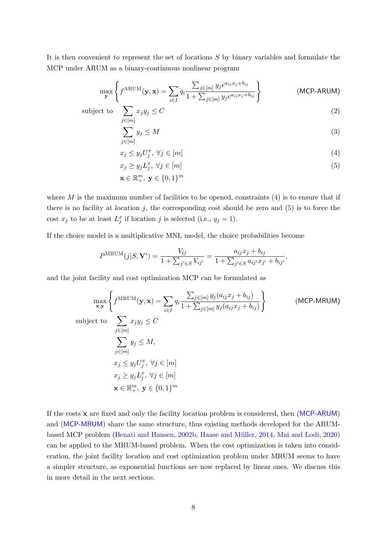It is then convenient to represent the set of locations  $S$  by binary variables and formulate the MCP under ARUM as a binary-continuous nonlinear program

$$
\max_{\mathbf{y}} \left\{ f^{\text{ARUM}}(\mathbf{y}, \mathbf{x}) = \sum_{i \in I} q_i \frac{\sum_{j \in [m]} y_j e^{a_{ij} x_j + b_{ij}}}{1 + \sum_{j \in [m]} y_j e^{a_{ij} x_j + b_{ij}}} \right\}
$$
 (MCP-ARUM)

subject to  $\sum$ 

 $\mathbf x$ 

$$
j \in [m] \sum_{j \in [m]} y_j \le M \tag{3}
$$

<span id="page-7-3"></span><span id="page-7-2"></span><span id="page-7-1"></span><span id="page-7-0"></span> $x_j y_j \leq C$  (2)

$$
x_j \le y_j U_j^x, \ \forall j \in [m] \tag{4}
$$

$$
x_j \ge y_j L_j^x, \ \forall j \in [m] \tag{5}
$$

$$
\in \mathbb{R}^m_+, \ \mathbf{y} \in \{0,1\}^m
$$

where  $M$  is the maximum number of facilities to be opened, constraints  $(4)$  is to ensure that if there is no facility at location  $j$ , the corresponding cost should be zero and  $(5)$  is to force the cost  $x_j$  to be at least  $L_j^x$  if location j is selected (i.e.,  $y_j = 1$ ).

If the choice model is a multiplicative MNL model, the choice probabilities become

$$
P^{\text{MRUM}}(j|S, \mathbf{V}^i) = \frac{V_{ij}}{1 + \sum_{j' \in S} V_{ij'}} = \frac{a_{ij}x_j + b_{ij}}{1 + \sum_{j' \in S} a_{ij'}x_{j'} + b_{ij'}},
$$

and the joint facility and cost optimization MCP can be formulated as

$$
\max_{\mathbf{x}, \mathbf{y}} \left\{ f^{\text{MRUM}}(\mathbf{y}, \mathbf{x}) = \sum_{i \in I} q_i \frac{\sum_{j \in [m]} y_j (a_{ij} x_j + b_{ij})}{1 + \sum_{j \in [m]} y_j (a_{ij} x_j + b_{ij})} \right\}
$$
\n(MCP-MRUM)

\nsubject to

\n
$$
\sum_{j \in [m]} x_j y_j \leq C
$$
\n
$$
\sum_{j \in [m]} y_j \leq M,
$$
\n
$$
x_j \leq y_j U_j^x, \forall j \in [m]
$$
\n
$$
x_j \geq y_j L_j^x, \forall j \in [m]
$$
\n
$$
\mathbf{x} \in \mathbb{R}_+^m, \mathbf{y} \in \{0, 1\}^m
$$

If the costs x are fixed and only the facility location problem is considered, then ([MCP-ARUM](#page-6-0)) and ([MCP-MRUM](#page-7-1)) share the same structure, thus existing methods developed for the ARUM-based MCP problem [\(Benati and Hansen,](#page-27-10) [2002b,](#page-27-10) Haase and Müller, [2014,](#page-28-5) [Mai and Lodi,](#page-29-1) [2020\)](#page-29-1) can be applied to the MRUM-based problem. When the cost optimization is taken into consideration, the joint facility location and cost optimization problem under MRUM seems to have a simpler structure, as exponential functions are now replaced by linear ones. We discuss this in more detail in the next sections.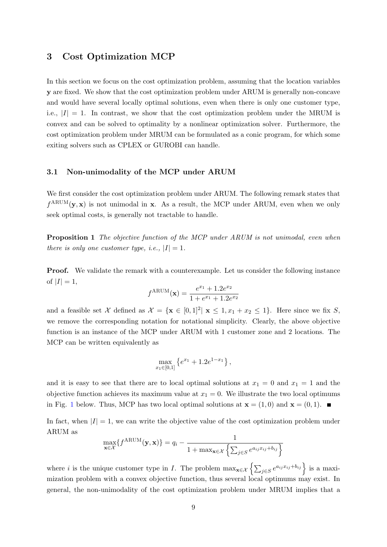# <span id="page-8-0"></span>3 Cost Optimization MCP

In this section we focus on the cost optimization problem, assuming that the location variables y are fixed. We show that the cost optimization problem under ARUM is generally non-concave and would have several locally optimal solutions, even when there is only one customer type, i.e.,  $|I| = 1$ . In contrast, we show that the cost optimization problem under the MRUM is convex and can be solved to optimality by a nonlinear optimization solver. Furthermore, the cost optimization problem under MRUM can be formulated as a conic program, for which some exiting solvers such as CPLEX or GUROBI can handle.

## 3.1 Non-unimodality of the MCP under ARUM

We first consider the cost optimization problem under ARUM. The following remark states that  $f^{ARUM}(\mathbf{y}, \mathbf{x})$  is not unimodal in x. As a result, the MCP under ARUM, even when we only seek optimal costs, is generally not tractable to handle.

**Proposition 1** The objective function of the MCP under ARUM is not unimodal, even when there is only one customer type, i.e.,  $|I| = 1$ .

Proof. We validate the remark with a counterexample. Let us consider the following instance of  $|I|=1$ ,

$$
f^{\text{ARUM}}(\mathbf{x}) = \frac{e^{x_1} + 1.2e^{x_2}}{1 + e^{x_1} + 1.2e^{x_2}}
$$

and a feasible set X defined as  $\mathcal{X} = {\mathbf{x} \in [0,1]^2 | \mathbf{x} \leq 1, x_1 + x_2 \leq 1}.$  Here since we fix S, we remove the corresponding notation for notational simplicity. Clearly, the above objective function is an instance of the MCP under ARUM with 1 customer zone and 2 locations. The MCP can be written equivalently as

$$
\max_{x_1 \in [0,1]} \left\{ e^{x_1} + 1.2e^{1-x_1} \right\},\,
$$

and it is easy to see that there are to local optimal solutions at  $x_1 = 0$  and  $x_1 = 1$  and the objective function achieves its maximum value at  $x_1 = 0$ . We illustrate the two local optimums in Fig. [1](#page-9-0) below. Thus, MCP has two local optimal solutions at  $\mathbf{x} = (1,0)$  and  $\mathbf{x} = (0,1)$ .

In fact, when  $|I|=1$ , we can write the objective value of the cost optimization problem under ARUM as

$$
\max_{\mathbf{x} \in \mathcal{X}} \{ f^{\text{ARUM}}(\mathbf{y}, \mathbf{x}) \} = q_i - \frac{1}{1 + \max_{\mathbf{x} \in \mathcal{X}} \left\{ \sum_{j \in S} e^{a_{ij} x_{ij} + b_{ij}} \right\}}
$$

where *i* is the unique customer type in *I*. The problem  $\max_{\mathbf{x} \in \mathcal{X}} \left\{ \sum_{j \in S} e^{a_{ij}x_{ij} + b_{ij}} \right\}$  is a maximization problem with a convex objective function, thus several local optimums may exist. In general, the non-unimodality of the cost optimization problem under MRUM implies that a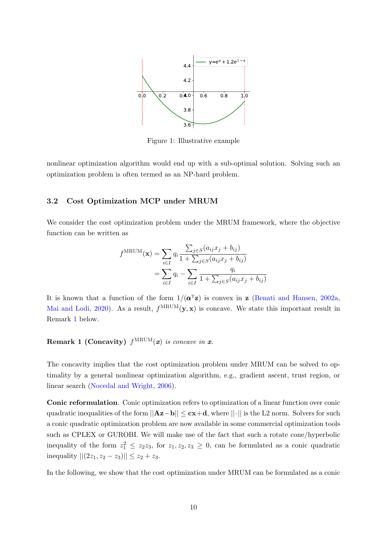<span id="page-9-0"></span>

Figure 1: Illustrative example

nonlinear optimization algorithm would end up with a sub-optimal solution. Solving such an optimization problem is often termed as an NP-hard problem.

## 3.2 Cost Optimization MCP under MRUM

We consider the cost optimization problem under the MRUM framework, where the objective function can be written as

$$
f^{\text{MRUM}}(\mathbf{x}) = \sum_{i \in I} q_i \frac{\sum_{j \in S} (a_{ij} x_j + b_{ij})}{1 + \sum_{j \in S} (a_{ij} x_j + b_{ij})}
$$
  
= 
$$
\sum_{i \in I} q_i - \sum_{i \in I} \frac{q_i}{1 + \sum_{j \in S} (a_{ij} x_j + b_{ij})}
$$

<span id="page-9-1"></span>It is known that a function of the form  $1/(\mathbf{\alpha}^T\mathbf{z})$  is convex in z [\(Benati and Hansen,](#page-27-0) [2002a,](#page-27-0) [Mai and Lodi,](#page-29-1) [2020\)](#page-29-1). As a result,  $f^{\text{MRUM}}(\mathbf{y}, \mathbf{x})$  is concave. We state this important result in Remark [1](#page-9-1) below.

# Remark 1 (Concavity)  $f^{\text{MRUM}}(x)$  is concave in x.

The concavity implies that the cost optimization problem under MRUM can be solved to optimality by a general nonlinear optimization algorithm, e.g., gradient ascent, trust region, or linear search [\(Nocedal and Wright,](#page-29-11) [2006\)](#page-29-11).

Conic reformulation. Conic optimization refers to optimization of a linear function over conic quadratic inequalities of the form  $||Az-b|| \leq cx+d$ , where  $||\cdot||$  is the L2 norm. Solvers for such a conic quadratic optimization problem are now available in some commercial optimization tools such as CPLEX or GUROBI. We will make use of the fact that such a rotate cone/hyperbolic inequality of the form  $z_1^2 \leq z_2 z_3$ , for  $z_1, z_2, z_3 \geq 0$ , can be formulated as a conic quadratic inequality  $||(2z_1, z_2 - z_3)|| \leq z_2 + z_3$ .

In the following, we show that the cost optimization under MRUM can be formulated as a conic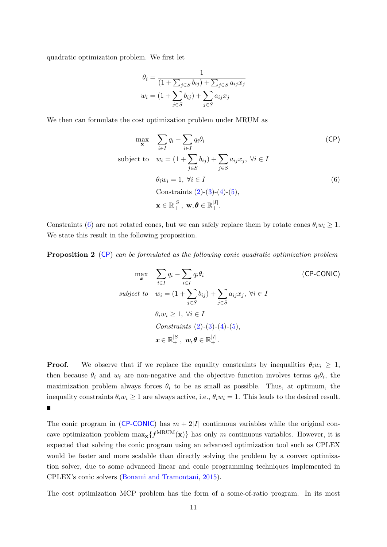quadratic optimization problem. We first let

$$
\theta_i = \frac{1}{(1 + \sum_{j \in S} b_{ij}) + \sum_{j \in S} a_{ij} x_j}
$$

$$
w_i = (1 + \sum_{j \in S} b_{ij}) + \sum_{j \in S} a_{ij} x_j
$$

We then can formulate the cost optimization problem under MRUM as

<span id="page-10-0"></span>
$$
\max_{\mathbf{x}} \quad \sum_{i \in I} q_i - \sum_{i \in I} q_i \theta_i \tag{CP}
$$
\n
$$
\text{subject to} \quad w_i = (1 + \sum_{j \in S} b_{ij}) + \sum_{j \in S} a_{ij} x_j, \ \forall i \in I
$$
\n
$$
\theta_i w_i = 1, \ \forall i \in I \tag{6}
$$
\n
$$
\text{Constraints } (2) \text{-} (3) \text{-} (4) \text{-} (5),
$$
\n
$$
\mathbf{x} \in \mathbb{R}_+^{|S|}, \ \mathbf{w}, \theta \in \mathbb{R}_+^{|I|}.
$$

Constraints [\(6\)](#page-10-0) are not rotated cones, but we can safely replace them by rotate cones  $\theta_i w_i \geq 1$ . We state this result in the following proposition.

Proposition 2 ([CP](#page-9-1)) can be formulated as the following conic quadratic optimization problem

<span id="page-10-1"></span>
$$
\max_{\mathbf{x}} \quad \sum_{i \in I} q_i - \sum_{i \in I} q_i \theta_i \tag{CP-CONIC}
$$
\n
$$
subject \quad w_i = (1 + \sum_{j \in S} b_{ij}) + \sum_{j \in S} a_{ij} x_j, \ \forall i \in I
$$
\n
$$
\theta_i w_i \ge 1, \ \forall i \in I
$$
\n
$$
Constraints \ (2)-(3)-(4)-(5),
$$
\n
$$
\mathbf{x} \in \mathbb{R}_+^{|S|}, \ \mathbf{w}, \mathbf{\theta} \in \mathbb{R}_+^{|I|}.
$$

**Proof.** We observe that if we replace the equality constraints by inequalities  $\theta_i w_i \geq 1$ , then because  $\theta_i$  and  $w_i$  are non-negative and the objective function involves terms  $q_i\theta_i$ , the maximization problem always forces  $\theta_i$  to be as small as possible. Thus, at optimum, the inequality constraints  $\theta_i w_i \geq 1$  are always active, i.e.,  $\theta_i w_i = 1$ . This leads to the desired result.  $\blacksquare$ 

The conic program in ([CP-CONIC](#page-10-1)) has  $m + 2|I|$  continuous variables while the original concave optimization problem  $\max_{\mathbf{x}} \{f^{\text{MRUM}}(\mathbf{x})\}$  has only m continuous variables. However, it is expected that solving the conic program using an advanced optimization tool such as CPLEX would be faster and more scalable than directly solving the problem by a convex optimization solver, due to some advanced linear and conic programming techniques implemented in CPLEX's conic solvers [\(Bonami and Tramontani,](#page-27-3) [2015\)](#page-27-3).

The cost optimization MCP problem has the form of a some-of-ratio program. In its most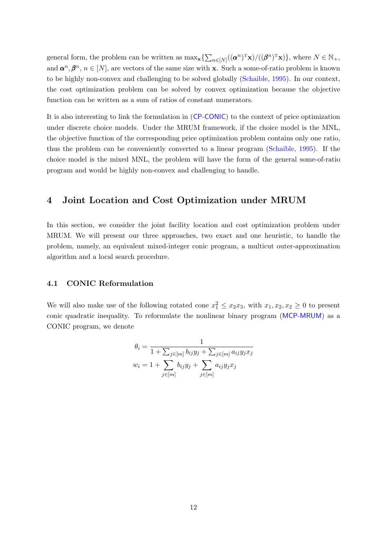general form, the problem can be written as  $\max_{\mathbf{x}} \{ \sum_{n \in [N]} ((\boldsymbol{\alpha}^n)^T \mathbf{x}) / ((\boldsymbol{\beta}^n)^T \mathbf{x}) \}$ , where  $N \in \mathbb{N}_+$ , and  $\alpha^n, \beta^n, n \in [N]$ , are vectors of the same size with x. Such a some-of-ratio problem is known to be highly non-convex and challenging to be solved globally [\(Schaible,](#page-29-12) [1995\)](#page-29-12). In our context, the cost optimization problem can be solved by convex optimization because the objective function can be written as a sum of ratios of constant numerators.

It is also interesting to link the formulation in ([CP-CONIC](#page-10-1)) to the context of price optimization under discrete choice models. Under the MRUM framework, if the choice model is the MNL, the objective function of the corresponding price optimization problem contains only one ratio, thus the problem can be conveniently converted to a linear program [\(Schaible,](#page-29-12) [1995\)](#page-29-12). If the choice model is the mixed MNL, the problem will have the form of the general some-of-ratio program and would be highly non-convex and challenging to handle.

## <span id="page-11-0"></span>4 Joint Location and Cost Optimization under MRUM

In this section, we consider the joint facility location and cost optimization problem under MRUM. We will present our three approaches, two exact and one heuristic, to handle the problem, namely, an equivalent mixed-integer conic program, a multicut outer-approximation algorithm and a local search procedure.

## <span id="page-11-1"></span>4.1 CONIC Reformulation

We will also make use of the following rotated cone  $x_1^2 \le x_2x_3$ , with  $x_1, x_2, x_2 \ge 0$  to present conic quadratic inequality. To reformulate the nonlinear binary program ([MCP-MRUM](#page-7-1)) as a CONIC program, we denote

$$
\theta_i = \frac{1}{1 + \sum_{j \in [m]} b_{ij} y_j + \sum_{j \in [m]} a_{ij} y_j x_j}
$$

$$
w_i = 1 + \sum_{j \in [m]} b_{ij} y_j + \sum_{j \in [m]} a_{ij} y_j x_j
$$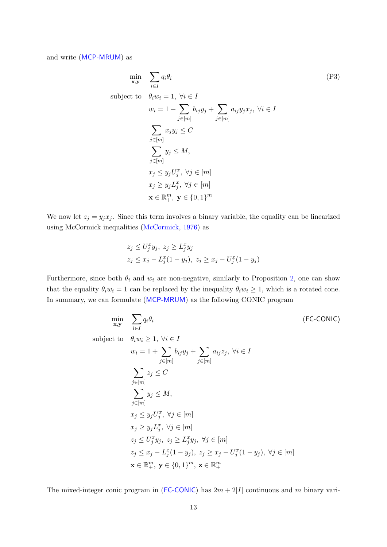and write ([MCP-MRUM](#page-7-1)) as

$$
\min_{\mathbf{x}, \mathbf{y}} \quad \sum_{i \in I} q_i \theta_i
$$
\n
$$
\text{subject to} \quad \theta_i w_i = 1, \ \forall i \in I
$$
\n
$$
w_i = 1 + \sum_{j \in [m]} b_{ij} y_j + \sum_{j \in [m]} a_{ij} y_j x_j, \ \forall i \in I
$$
\n
$$
\sum_{j \in [m]} x_j y_j \leq C
$$
\n
$$
\sum_{j \in [m]} y_j \leq M,
$$
\n
$$
x_j \leq y_j U_j^x, \ \forall j \in [m]
$$
\n
$$
x_j \geq y_j L_j^x, \ \forall j \in [m]
$$
\n
$$
\mathbf{x} \in \mathbb{R}_+^m, \ \mathbf{y} \in \{0, 1\}^m
$$
\n
$$
(P3)
$$

We now let  $z_j = y_j x_j$ . Since this term involves a binary variable, the equality can be linearized using McCormick inequalities [\(McCormick,](#page-29-13) [1976\)](#page-29-13) as

$$
z_j \le U_j^x y_j, \ z_j \ge L_j^x y_j
$$
  

$$
z_j \le x_j - L_j^x (1 - y_j), \ z_j \ge x_j - U_j^x (1 - y_j)
$$

Furthermore, since both  $\theta_i$  and  $w_i$  are non-negative, similarly to Proposition [2,](#page-10-1) one can show that the equality  $\theta_i w_i = 1$  can be replaced by the inequality  $\theta_i w_i \geq 1$ , which is a rotated cone. In summary, we can formulate ([MCP-MRUM](#page-7-1)) as the following CONIC program

$$
\min_{\mathbf{x}, \mathbf{y}} \quad \sum_{i \in I} q_i \theta_i \qquad (\text{FC-CONIC})
$$
\n
$$
\text{subject to} \quad \theta_i w_i \ge 1, \ \forall i \in I
$$
\n
$$
w_i = 1 + \sum_{j \in [m]} b_{ij} y_j + \sum_{j \in [m]} a_{ij} z_j, \ \forall i \in I
$$
\n
$$
\sum_{j \in [m]} z_j \le C
$$
\n
$$
\sum_{j \in [m]} y_j \le M,
$$
\n
$$
x_j \le y_j U_j^x, \ \forall j \in [m]
$$
\n
$$
x_j \ge y_j L_j^x, \ \forall j \in [m]
$$
\n
$$
z_j \le U_j^x y_j, \ z_j \ge L_j^x y_j, \ \forall j \in [m]
$$
\n
$$
z_j \le x_j - L_j^x (1 - y_j), \ z_j \ge x_j - U_j^x (1 - y_j), \ \forall j \in [m]
$$
\n
$$
\mathbf{x} \in \mathbb{R}_+^m, \ \mathbf{y} \in \{0, 1\}^m, \ \mathbf{z} \in \mathbb{R}_+^m
$$
\n
$$
(FC-CONIC)
$$

The mixed-integer conic program in ([FC-CONIC](#page-11-1)) has  $2m + 2|I|$  continuous and m binary vari-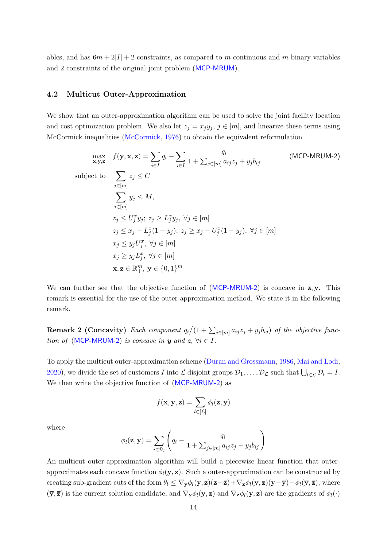ables, and has  $6m + 2|I| + 2$  constraints, as compared to m continuous and m binary variables and 2 constraints of the original joint problem ([MCP-MRUM](#page-7-1)).

## <span id="page-13-0"></span>4.2 Multicut Outer-Approximation

We show that an outer-approximation algorithm can be used to solve the joint facility location and cost optimization problem. We also let  $z_j = x_j y_j$ ,  $j \in [m]$ , and linearize these terms using McCormick inequalities [\(McCormick,](#page-29-13) [1976\)](#page-29-13) to obtain the equivalent reformulation

$$
\max_{\mathbf{x}, \mathbf{y}, \mathbf{z}} f(\mathbf{y}, \mathbf{x}, \mathbf{z}) = \sum_{i \in I} q_i - \sum_{i \in I} \frac{q_i}{1 + \sum_{j \in [m]} a_{ij} z_j + y_j b_{ij}}
$$
 (MCP-MRUM-2)  
\nsubject to\n
$$
\sum_{j \in [m]} z_j \leq C
$$
\n
$$
\sum_{j \in [m]} y_j \leq M,
$$
\n
$$
z_j \leq U_j^x y_j; \ z_j \geq L_j^x y_j, \ \forall j \in [m]
$$
\n
$$
z_j \leq x_j - L_j^x (1 - y_j); \ z_j \geq x_j - U_j^x (1 - y_j), \ \forall j \in [m]
$$
\n
$$
x_j \leq y_j U_j^x, \ \forall j \in [m]
$$
\n
$$
x, \mathbf{z} \in \mathbb{R}_+^m, \ \mathbf{y} \in \{0, 1\}^m
$$

We can further see that the objective function of  $(MCP-MRUM-2)$  $(MCP-MRUM-2)$  $(MCP-MRUM-2)$  is concave in  $z, y$ . This remark is essential for the use of the outer-approximation method. We state it in the following remark.

**Remark 2 (Concavity)** Each component  $q_i/(1+\sum_{j\in [m]}a_{ij}z_j+y_jb_{ij})$  of the objective func-tion of ([MCP-MRUM-2](#page-13-0)) is concave in y and  $z, \forall i \in I$ .

To apply the multicut outer-approximation scheme [\(Duran and Grossmann,](#page-28-13) [1986,](#page-28-13) [Mai and Lodi,](#page-29-1) [2020\)](#page-29-1), we divide the set of customers I into L disjoint groups  $\mathcal{D}_1, \ldots, \mathcal{D}_\mathcal{L}$  such that  $\bigcup_{l \in \mathcal{L}} \mathcal{D}_l = I$ . We then write the objective function of ([MCP-MRUM-2](#page-13-0)) as

$$
f(\mathbf{x}, \mathbf{y}, \mathbf{z}) = \sum_{l \in [\mathcal{L}]} \phi_l(\mathbf{z}, \mathbf{y})
$$

where

$$
\phi_l(\mathbf{z}, \mathbf{y}) = \sum_{i \in \mathcal{D}_l} \left( q_i - \frac{q_i}{1 + \sum_{j \in [m]} a_{ij} z_j + y_j b_{ij}} \right)
$$

An multicut outer-approximation algorithm will build a piecewise linear function that outerapproximates each concave function  $\phi_l(\mathbf{y}, \mathbf{z})$ . Such a outer-approximation can be constructed by creating sub-gradient cuts of the form  $\theta_l \leq \nabla_{\mathbf{y}} \phi_l(\mathbf{y}, \mathbf{z})(\mathbf{z}-\overline{\mathbf{z}}) + \nabla_{\mathbf{z}} \phi_l(\mathbf{y}, \mathbf{z})(\mathbf{y}-\overline{\mathbf{y}}) + \phi_l(\overline{\mathbf{y}}, \overline{\mathbf{z}})$ , where  $(\bar{\mathbf{y}}, \bar{\mathbf{z}})$  is the current solution candidate, and  $\nabla_{\mathbf{y}} \phi_l(\mathbf{y}, \mathbf{z})$  and  $\nabla_{\mathbf{z}} \phi_l(\mathbf{y}, \mathbf{z})$  are the gradients of  $\phi_l(\cdot)$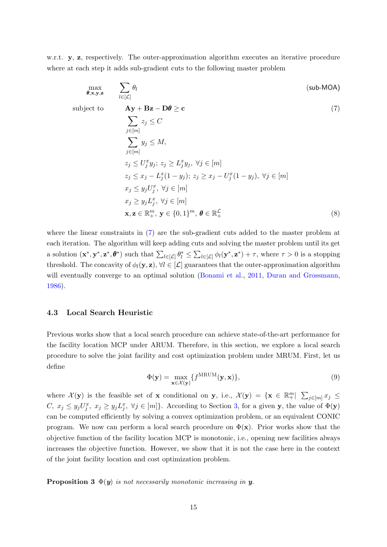w.r.t. y, z, respectively. The outer-approximation algorithm executes an iterative procedure where at each step it adds sub-gradient cuts to the following master problem

$$
\max_{\theta, \mathbf{x}, \mathbf{y}, \mathbf{z}} \qquad \sum_{l \in [\mathcal{L}]} \theta_l \tag{sub-MOA}
$$

subject to

<span id="page-14-0"></span>
$$
\mathbf{A}\mathbf{y} + \mathbf{B}\mathbf{z} - \mathbf{D}\boldsymbol{\theta} \ge \mathbf{c}
$$
  
\n
$$
\sum_{j \in [m]} z_j \le C
$$
  
\n
$$
\sum_{j \in [m]} y_j \le M,
$$
  
\n
$$
z_j \le U_j^x y_j; z_j \ge L_j^x y_j, \forall j \in [m]
$$
  
\n
$$
z_j \le x_j - L_j^x (1 - y_j); z_j \ge x_j - U_j^x (1 - y_j), \forall j \in [m]
$$
  
\n
$$
x_j \le y_j U_j^x, \forall j \in [m]
$$
  
\n
$$
x_j \ge y_j L_j^x, \forall j \in [m]
$$
  
\n
$$
\mathbf{x}, \mathbf{z} \in \mathbb{R}_+^m, \mathbf{y} \in \{0, 1\}^m, \boldsymbol{\theta} \in \mathbb{R}_+^{\mathcal{L}}
$$
  
\n(8)

where the linear constraints in [\(7\)](#page-14-0) are the sub-gradient cuts added to the master problem at each iteration. The algorithm will keep adding cuts and solving the master problem until its get a solution  $(\mathbf{x}^*, \mathbf{y}^*, \mathbf{z}^*, \boldsymbol{\theta}^*)$  such that  $\sum_{l \in [\mathcal{L}]} \theta_l^* \leq \sum_{l \in [\mathcal{L}]} \phi_l(\mathbf{y}^*, \mathbf{z}^*) + \tau$ , where  $\tau > 0$  is a stopping threshold. The concavity of  $\phi_l(\mathbf{y}, \mathbf{z})$ ,  $\forall l \in [\mathcal{L}]$  guarantees that the outer-approximation algorithm will eventually converge to an optimal solution [\(Bonami et al.,](#page-27-4) [2011,](#page-27-4) [Duran and Grossmann,](#page-28-13) [1986\)](#page-28-13).

### 4.3 Local Search Heuristic

<span id="page-14-2"></span>Previous works show that a local search procedure can achieve state-of-the-art performance for the facility location MCP under ARUM. Therefore, in this section, we explore a local search procedure to solve the joint facility and cost optimization problem under MRUM. First, let us define

<span id="page-14-1"></span>
$$
\Phi(\mathbf{y}) = \max_{\mathbf{x} \in \mathcal{X}(\mathbf{y})} \{ f^{\text{MRUM}}(\mathbf{y}, \mathbf{x}) \},\tag{9}
$$

where  $\mathcal{X}(y)$  is the feasible set of **x** conditional on **y**, i.e.,  $\mathcal{X}(y) = \{x \in \mathbb{R}^m_+ | \sum_{j \in [m]} x_j \leq$ C,  $x_j \leq y_j U_j^x$ ,  $x_j \geq y_j L_j^x$ ,  $\forall j \in [m]$ . According to Section [3,](#page-8-0) for a given y, the value of  $\Phi(\mathbf{y})$ can be computed efficiently by solving a convex optimization problem, or an equivalent CONIC program. We now can perform a local search procedure on  $\Phi(\mathbf{x})$ . Prior works show that the objective function of the facility location MCP is monotonic, i.e., opening new facilities always increases the objective function. However, we show that it is not the case here in the context of the joint facility location and cost optimization problem.

**Proposition 3**  $\Phi(y)$  is not necessarily monotonic increasing in y.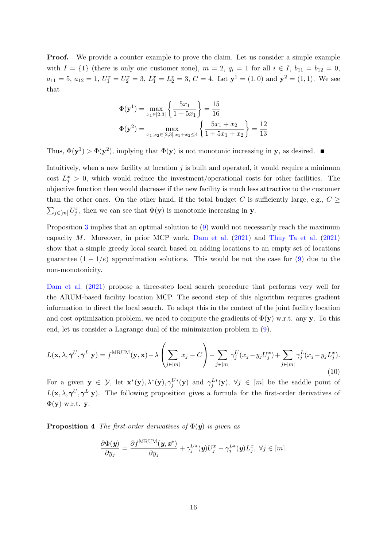**Proof.** We provide a counter example to prove the claim. Let us consider a simple example with  $I = \{1\}$  (there is only one customer zone),  $m = 2$ ,  $q_i = 1$  for all  $i \in I$ ,  $b_{11} = b_{12} = 0$ ,  $a_{11} = 5, a_{12} = 1, U_1^x = U_2^x = 3, L_1^x = L_2^x = 3, C = 4.$  Let  $\mathbf{y}^1 = (1,0)$  and  $\mathbf{y}^2 = (1,1)$ . We see that

$$
\Phi(\mathbf{y}^1) = \max_{x_1 \in [2,3]} \left\{ \frac{5x_1}{1+5x_1} \right\} = \frac{15}{16}
$$

$$
\Phi(\mathbf{y}^2) = \max_{x_1, x_2 \in [2,3], x_1 + x_2 \le 4} \left\{ \frac{5x_1 + x_2}{1+5x_1 + x_2} \right\} = \frac{12}{13}
$$

Thus,  $\Phi(\mathbf{y}^1) > \Phi(\mathbf{y}^2)$ , implying that  $\Phi(\mathbf{y})$  is not monotonic increasing in y, as desired.

Intuitively, when a new facility at location  $j$  is built and operated, it would require a minimum cost  $L_j^x > 0$ , which would reduce the investment/operational costs for other facilities. The objective function then would decrease if the new facility is much less attractive to the customer than the other ones. On the other hand, if the total budget C is sufficiently large, e.g.,  $C \geq$  $\sum_{j\in[m]} U_j^x$ , then we can see that  $\Phi(\mathbf{y})$  is monotonic increasing in y.

Proposition [3](#page-14-1) implies that an optimal solution to [\(9\)](#page-14-2) would not necessarily reach the maximum capacity M. Moreover, in prior MCP work, [Dam et al.](#page-28-0) [\(2021\)](#page-28-0) and [Thuy Ta et al.](#page-30-4) [\(2021\)](#page-30-4) show that a simple greedy local search based on adding locations to an empty set of locations guarantee  $(1 - 1/e)$  approximation solutions. This would be not the case for [\(9\)](#page-14-2) due to the non-monotonicity.

[Dam et al.](#page-28-0) [\(2021\)](#page-28-0) propose a three-step local search procedure that performs very well for the ARUM-based facility location MCP. The second step of this algorithm requires gradient information to direct the local search. To adapt this in the context of the joint facility location and cost optimization problem, we need to compute the gradients of  $\Phi(\mathbf{y})$  w.r.t. any y. To this end, let us consider a Lagrange dual of the minimization problem in [\(9\)](#page-14-2).

$$
L(\mathbf{x}, \lambda, \boldsymbol{\gamma}^U, \boldsymbol{\gamma}^L | \mathbf{y}) = f^{\text{MRUM}}(\mathbf{y}, \mathbf{x}) - \lambda \left( \sum_{j \in [m]} x_j - C \right) - \sum_{j \in [m]} \gamma_j^U(x_j - y_j U_j^x) + \sum_{j \in [m]} \gamma_j^L(x_j - y_j L_j^x). \tag{10}
$$

For a given  $y \in \mathcal{Y}$ , let  $\mathbf{x}^*(y)$ ,  $\lambda^*(y)$ ,  $\gamma_j^{U*}(y)$  and  $\gamma_j^{L*}(y)$ ,  $\forall j \in [m]$  be the saddle point of  $L(\mathbf{x}, \lambda, \boldsymbol{\gamma}^U, \boldsymbol{\gamma}^L | \mathbf{y})$ . The following proposition gives a formula for the first-order derivatives of  $\Phi(\mathbf{y})$  w.r.t. y.

**Proposition 4** The first-order derivatives of  $\Phi(\mathbf{y})$  is given as

<span id="page-15-0"></span>
$$
\frac{\partial \Phi(\mathbf{y})}{\partial y_j} = \frac{\partial f^{\text{MRUM}}(\mathbf{y}, \mathbf{x}^*)}{\partial y_j} + \gamma_j^{U*}(\mathbf{y}) U_j^x - \gamma_j^{L*}(\mathbf{y}) L_j^x, \ \forall j \in [m].
$$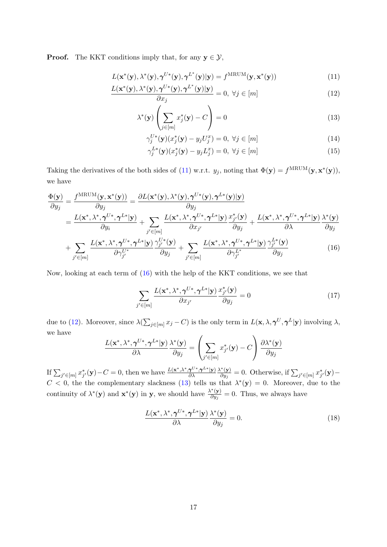**Proof.** The KKT conditions imply that, for any  $y \in \mathcal{Y}$ ,

$$
L(\mathbf{x}^*(\mathbf{y}), \lambda^*(\mathbf{y}), \boldsymbol{\gamma}^{U*}(\mathbf{y}), \boldsymbol{\gamma}^{L^*}(\mathbf{y})|\mathbf{y}) = f^{\text{MRUM}}(\mathbf{y}, \mathbf{x}^*(\mathbf{y}))
$$
(11)

$$
\frac{L(\mathbf{x}^*(\mathbf{y}), \lambda^*(\mathbf{y}), \pmb{\gamma}^{U*}(\mathbf{y}), \pmb{\gamma}^{L^*}(\mathbf{y})|\mathbf{y})}{\partial x_j} = 0, \ \forall j \in [m]
$$
\n(12)

$$
\lambda^*(\mathbf{y})\left(\sum_{j\in[m]} x_j^*(\mathbf{y}) - C\right) = 0\tag{13}
$$

<span id="page-16-3"></span><span id="page-16-2"></span><span id="page-16-0"></span>
$$
\gamma_j^{U*}(\mathbf{y})(x_j^*(\mathbf{y}) - y_j U_j^x) = 0, \ \forall j \in [m]
$$
\n(14)

<span id="page-16-5"></span><span id="page-16-4"></span>
$$
\gamma_j^{L*}(\mathbf{y})(x_j^*(\mathbf{y}) - y_j L_j^x) = 0, \ \forall j \in [m]
$$
\n(15)

Taking the derivatives of the both sides of [\(11\)](#page-16-0) w.r.t.  $y_j$ , noting that  $\Phi(\mathbf{y}) = f^{\text{MRUM}}(\mathbf{y}, \mathbf{x}^*(\mathbf{y})),$ we have

$$
\frac{\Phi(\mathbf{y})}{\partial y_j} = \frac{f^{MRUM}(\mathbf{y}, \mathbf{x}^*(\mathbf{y}))}{\partial y_j} = \frac{\partial L(\mathbf{x}^*(\mathbf{y}), \lambda^*(\mathbf{y}), \boldsymbol{\gamma}^{U*}(\mathbf{y}), \boldsymbol{\gamma}^{L*}(\mathbf{y})|\mathbf{y})}{\partial y_j} \n= \frac{L(\mathbf{x}^*, \lambda^*, \boldsymbol{\gamma}^{U*}, \boldsymbol{\gamma}^{L*}|\mathbf{y})}{\partial y_i} + \sum_{j' \in [m]} \frac{L(\mathbf{x}^*, \lambda^*, \boldsymbol{\gamma}^{U*}, \boldsymbol{\gamma}^{L*}|\mathbf{y})}{\partial x_{j'}} \frac{x_{j'}^*(\mathbf{y})}{\partial y_j} + \frac{L(\mathbf{x}^*, \lambda^*, \boldsymbol{\gamma}^{U*}, \boldsymbol{\gamma}^{L*}|\mathbf{y})}{\partial y_j} \frac{\lambda^*(\mathbf{y})}{\partial y_j} \n+ \sum_{j' \in [m]} \frac{L(\mathbf{x}^*, \lambda^*, \boldsymbol{\gamma}^{U*}, \boldsymbol{\gamma}^{L*}|\mathbf{y})}{\partial \gamma_{j'}^{U*}} \frac{\gamma_{j'}^{U*}(\mathbf{y})}{\partial y_j} + \sum_{j' \in [m]} \frac{L(\mathbf{x}^*, \lambda^*, \boldsymbol{\gamma}^{U*}, \boldsymbol{\gamma}^{L*}|\mathbf{y})}{\partial \gamma_{j'}^{L*}} \frac{\gamma_{j'}^{L*}(\mathbf{y})}{\partial y_j} \tag{16}
$$

Now, looking at each term of [\(16\)](#page-16-1) with the help of the KKT conditions, we see that

<span id="page-16-1"></span>
$$
\sum_{j' \in [m]} \frac{L(\mathbf{x}^*, \lambda^*, \boldsymbol{\gamma}^{U*}, \boldsymbol{\gamma}^{L*} | \mathbf{y})}{\partial x_{j'}} \frac{x_{j'}^*(\mathbf{y})}{\partial y_j} = 0 \tag{17}
$$

due to [\(12\)](#page-16-2). Moreover, since  $\lambda(\sum_{j\in [m]}x_j - C)$  is the only term in  $L(\mathbf{x}, \lambda, \boldsymbol{\gamma}^U, \boldsymbol{\gamma}^L | \mathbf{y})$  involving  $\lambda$ , we have  $\overline{1}$ 

$$
\frac{L(\mathbf{x}^*, \lambda^*, \boldsymbol{\gamma}^{U*}, \boldsymbol{\gamma}^{L*}|\mathbf{y})}{\partial \lambda} \frac{\lambda^*(\mathbf{y})}{\partial y_j} = \left(\sum_{j' \in [m]} x_{j'}^*(\mathbf{y}) - C\right) \frac{\partial \lambda^*(\mathbf{y})}{\partial y_j}
$$

If  $\sum_{j' \in [m]} x_{j'}^*(\mathbf{y}) - C = 0$ , then we have  $\frac{L(\mathbf{x}^*, \lambda^*, \gamma^{U^*}, \gamma^{L^*}|\mathbf{y})}{\partial \lambda}$ ∂λ  $\lambda^*(\mathbf{y})$  $\frac{\partial^*(\mathbf{y})}{\partial y_j} = 0.$  Otherwise, if  $\sum_{j' \in [m]} x_{j'}^*(\mathbf{y}) C < 0$ , the the complementary slackness [\(13\)](#page-16-3) tells us that  $\lambda^*(y) = 0$ . Moreover, due to the continuity of  $\lambda^*(y)$  and  $\mathbf{x}^*(y)$  in y, we should have  $\frac{\lambda^*(y)}{\partial y}$  $\frac{\partial^2 (y)}{\partial y_j} = 0$ . Thus, we always have

$$
\frac{L(\mathbf{x}^*, \lambda^*, \boldsymbol{\gamma}^{U*}, \boldsymbol{\gamma}^{L*}|\mathbf{y})}{\partial \lambda} \frac{\lambda^*(\mathbf{y})}{\partial y_j} = 0.
$$
\n(18)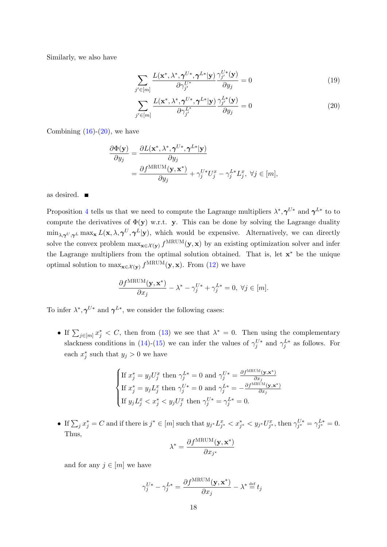Similarly, we also have

$$
\sum_{j' \in [m]} \frac{L(\mathbf{x}^*, \lambda^*, \boldsymbol{\gamma}^{U*}, \boldsymbol{\gamma}^{L*} | \mathbf{y})}{\partial \gamma_{j'}^{U*}} \frac{\gamma_{j'}^{U*}(\mathbf{y})}{\partial y_j} = 0
$$
\n(19)

<span id="page-17-0"></span>
$$
\sum_{j' \in [m]} \frac{L(\mathbf{x}^*, \lambda^*, \pmb{\gamma}^{U*}, \pmb{\gamma}^{L*} | \mathbf{y})}{\partial \gamma_{j'}^{L*}} \frac{\gamma_{j'}^{L*}(\mathbf{y})}{\partial y_j} = 0
$$
\n(20)

Combining  $(16)-(20)$  $(16)-(20)$  $(16)-(20)$ , we have

$$
\frac{\partial \Phi(\mathbf{y})}{\partial y_j} = \frac{\partial L(\mathbf{x}^*, \lambda^*, \boldsymbol{\gamma}^{U*}, \boldsymbol{\gamma}^{L*}|\mathbf{y})}{\partial y_j} \n= \frac{\partial f^{\text{MRUM}}(\mathbf{y}, \mathbf{x}^*)}{\partial y_j} + \gamma_j^{U*} U_j^x - \gamma_j^{L*} L_j^x, \ \forall j \in [m],
$$

as desired.

Proposition [4](#page-15-0) tells us that we need to compute the Lagrange multipliers  $\lambda^*, \gamma^{U*}$  and  $\gamma^{L*}$  to to compute the derivatives of  $\Phi(\mathbf{y})$  w.r.t. y. This can be done by solving the Lagrange duality  $\min_{\lambda,\gamma^U,\gamma^L}\max_{\mathbf{x}}L(\mathbf{x},\lambda,\gamma^U,\gamma^L|\mathbf{y})$ , which would be expensive. Alternatively, we can directly solve the convex problem  $\max_{\mathbf{x} \in \mathcal{X}(\mathbf{y})} f^{\text{MRUM}}(\mathbf{y}, \mathbf{x})$  by an existing optimization solver and infer the Lagrange multipliers from the optimal solution obtained. That is, let x<sup>\*</sup> be the unique optimal solution to  $\max_{\mathbf{x} \in \mathcal{X}(\mathbf{y})} f^{\text{MRUM}}(\mathbf{y}, \mathbf{x})$ . From [\(12\)](#page-16-2) we have

$$
\frac{\partial f^{\mathrm{MRUM}}(\mathbf{y}, \mathbf{x}^*)}{\partial x_j}-\lambda^*-\gamma_j^{U*}+\gamma_j^{L*}=0, \; \forall j\in [m].
$$

To infer  $\lambda^*, \gamma^{U*}$  and  $\gamma^{L*}$ , we consider the following cases:

• If  $\sum_{j\in[m]}x_j^* < C$ , then from [\(13\)](#page-16-3) we see that  $\lambda^* = 0$ . Then using the complementary slackness conditions in [\(14\)](#page-16-4)-[\(15\)](#page-16-5) we can infer the values of  $\gamma_j^{U*}$  and  $\gamma_j^{L*}$  as follows. For each  $x_j^*$  such that  $y_j > 0$  we have

$$
\begin{cases} \text{If } x_j^* = y_j U_j^x \text{ then } \gamma_j^{L*} = 0 \text{ and } \gamma_j^{U*} = \frac{\partial f^{\text{MRUM}}(\mathbf{y}, \mathbf{x}^*)}{\partial x_j} \\ \text{If } x_j^* = y_j L_j^x \text{ then } \gamma_j^{U*} = 0 \text{ and } \gamma_j^{L*} = -\frac{\partial f^{\text{MRUM}}(\mathbf{y}, \mathbf{x}^*)}{\partial x_j} \\ \text{If } y_j L_j^x < x_j^* < y_j U_j^x \text{ then } \gamma_j^{U*} = \gamma_j^{L*} = 0. \end{cases}
$$

• If  $\sum_j x_j^* = C$  and if there is  $j^* \in [m]$  such that  $y_{j^*} L_{j^*}^x < x_{j^*}^* < y_{j^*} U_{j^*}^x$ , then  $\gamma_{j^*}^{U^*} = \gamma_{j^*}^{L^*} = 0$ . Thus,

$$
\lambda^* = \frac{\partial f^{\text{MRUM}}(\mathbf{y}, \mathbf{x}^*)}{\partial x_{j^*}}
$$

and for any  $j \in [m]$  we have

$$
\gamma_j^{U*} - \gamma_j^{L*} = \frac{\partial f^{\mathrm{MRUM}}(\mathbf{y}, \mathbf{x}^*)}{\partial x_j} - \lambda^* \stackrel{\mathrm{def}}{=} t_j
$$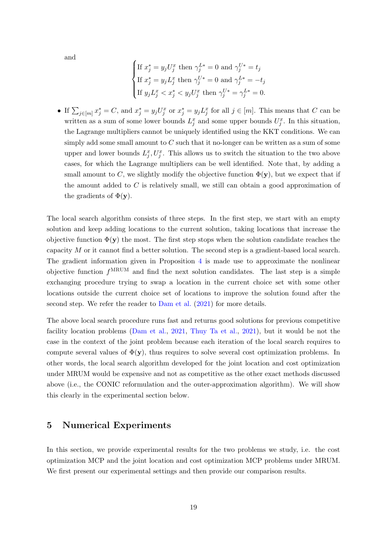and

If 
$$
x_j^* = y_j U_j^x
$$
 then  $\gamma_j^{L*} = 0$  and  $\gamma_j^{U*} = t_j$   
\nIf  $x_j^* = y_j L_j^x$  then  $\gamma_j^{U*} = 0$  and  $\gamma_j^{L*} = -t_j$   
\nIf  $y_j L_j^x < x_j^* < y_j U_j^x$  then  $\gamma_j^{U*} = \gamma_j^{L*} = 0$ .

• If  $\sum_{j\in[m]}x_j^*=C$ , and  $x_j^*=y_jU_j^x$  or  $x_j^*=y_jL_j^x$  for all  $j\in[m]$ . This means that C can be written as a sum of some lower bounds  $L_j^x$  and some upper bounds  $U_j^x$ . In this situation, the Lagrange multipliers cannot be uniquely identified using the KKT conditions. We can simply add some small amount to  $C$  such that it no-longer can be written as a sum of some upper and lower bounds  $L_j^x, U_j^x$ . This allows us to switch the situation to the two above cases, for which the Lagrange multipliers can be well identified. Note that, by adding a small amount to C, we slightly modify the objective function  $\Phi(\mathbf{y})$ , but we expect that if the amount added to C is relatively small, we still can obtain a good approximation of the gradients of  $\Phi(\mathbf{y})$ .

The local search algorithm consists of three steps. In the first step, we start with an empty solution and keep adding locations to the current solution, taking locations that increase the objective function  $\Phi(\mathbf{y})$  the most. The first step stops when the solution candidate reaches the capacity M or it cannot find a better solution. The second step is a gradient-based local search. The gradient information given in Proposition  $4$  is made use to approximate the nonlinear objective function  $f^{\text{MRUM}}$  and find the next solution candidates. The last step is a simple exchanging procedure trying to swap a location in the current choice set with some other locations outside the current choice set of locations to improve the solution found after the second step. We refer the reader to [Dam et al.](#page-28-0) [\(2021\)](#page-28-0) for more details.

The above local search procedure runs fast and returns good solutions for previous competitive facility location problems [\(Dam et al.,](#page-28-0) [2021,](#page-28-0) [Thuy Ta et al.,](#page-30-4) [2021\)](#page-30-4), but it would be not the case in the context of the joint problem because each iteration of the local search requires to compute several values of  $\Phi(\mathbf{y})$ , thus requires to solve several cost optimization problems. In other words, the local search algorithm developed for the joint location and cost optimization under MRUM would be expensive and not as competitive as the other exact methods discussed above (i.e., the CONIC reformulation and the outer-approximation algorithm). We will show this clearly in the experimental section below.

## <span id="page-18-0"></span>5 Numerical Experiments

In this section, we provide experimental results for the two problems we study, i.e. the cost optimization MCP and the joint location and cost optimization MCP problems under MRUM. We first present our experimental settings and then provide our comparison results.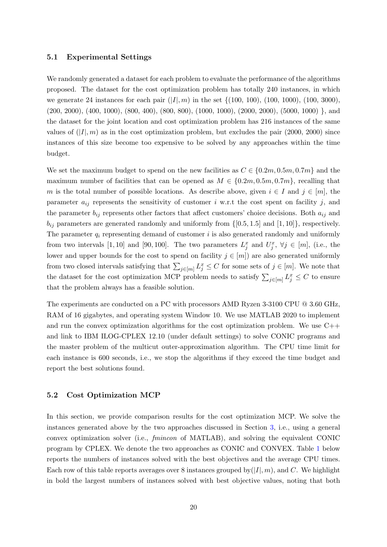#### 5.1 Experimental Settings

We randomly generated a dataset for each problem to evaluate the performance of the algorithms proposed. The dataset for the cost optimization problem has totally 240 instances, in which we generate 24 instances for each pair  $(|I|, m)$  in the set  $\{(100, 100), (100, 1000), (100, 3000),$  $(200, 2000), (400, 1000), (800, 400), (800, 800), (1000, 1000), (2000, 2000), (5000, 1000)$ , and the dataset for the joint location and cost optimization problem has 216 instances of the same values of  $(|I|, m)$  as in the cost optimization problem, but excludes the pair (2000, 2000) since instances of this size become too expensive to be solved by any approaches within the time budget.

We set the maximum budget to spend on the new facilities as  $C \in \{0.2m, 0.5m, 0.7m\}$  and the maximum number of facilities that can be opened as  $M \in \{0.2m, 0.5m, 0.7m\}$ , recalling that m is the total number of possible locations. As describe above, given  $i \in I$  and  $j \in [m]$ , the parameter  $a_{ij}$  represents the sensitivity of customer i w.r.t the cost spent on facility j, and the parameter  $b_{ij}$  represents other factors that affect customers' choice decisions. Both  $a_{ij}$  and  $b_{ij}$  parameters are generated randomly and uniformly from  $\{[0.5, 1.5]$  and  $[1, 10]\}$ , respectively. The parameter  $q_i$  representing demand of customer i is also generated randomly and uniformly from two intervals [1, 10] and [90, 100]. The two parameters  $L_j^x$  and  $U_j^x$ ,  $\forall j \in [m]$ , (i.e., the lower and upper bounds for the cost to spend on facility  $j \in [m]$ ) are also generated uniformly from two closed intervals satisfying that  $\sum_{j\in[m]} L_j^x \leq C$  for some sets of  $j \in [m]$ . We note that the dataset for the cost optimization MCP problem needs to satisfy  $\sum_{j\in [m]} L_j^x \leq C$  to ensure that the problem always has a feasible solution.

The experiments are conducted on a PC with processors AMD Ryzen 3-3100 CPU @ 3.60 GHz, RAM of 16 gigabytes, and operating system Window 10. We use MATLAB 2020 to implement and run the convex optimization algorithms for the cost optimization problem. We use  $C++$ and link to IBM ILOG-CPLEX 12.10 (under default settings) to solve CONIC programs and the master problem of the multicut outer-approximation algorithm. The CPU time limit for each instance is 600 seconds, i.e., we stop the algorithms if they exceed the time budget and report the best solutions found.

### <span id="page-19-0"></span>5.2 Cost Optimization MCP

In this section, we provide comparison results for the cost optimization MCP. We solve the instances generated above by the two approaches discussed in Section [3,](#page-8-0) i.e., using a general convex optimization solver (i.e., fmincon of MATLAB), and solving the equivalent CONIC program by CPLEX. We denote the two approaches as CONIC and CONVEX. Table [1](#page-20-0) below reports the numbers of instances solved with the best objectives and the average CPU times. Each row of this table reports averages over 8 instances grouped by  $(|I|, m)$ , and C. We highlight in bold the largest numbers of instances solved with best objective values, noting that both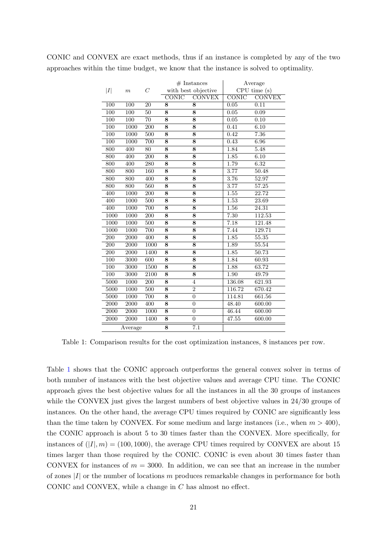|      |       | ັ     |              |                     |                        | л.            |  |  |  |
|------|-------|-------|--------------|---------------------|------------------------|---------------|--|--|--|
|      |       |       |              | $#$ Instances       | Average<br>CPU time(s) |               |  |  |  |
| I    | $\,m$ | $\,C$ |              | with best objective |                        |               |  |  |  |
|      |       |       | <b>CONIC</b> | <b>CONVEX</b>       | CONIC                  | <b>CONVEX</b> |  |  |  |
| 100  | 100   | 20    | 8            | 8                   | 0.05                   | 0.11          |  |  |  |
| 100  | 100   | 50    | 8            | 8                   | 0.05                   | 0.09          |  |  |  |
| 100  | 100   | 70    | 8            | 8                   | 0.05                   | 0.10          |  |  |  |
| 100  | 1000  | 200   | 8            | 8                   | 0.41                   | 6.10          |  |  |  |
| 100  | 1000  | 500   | 8            | 8                   | 0.42                   | 7.36          |  |  |  |
| 100  | 1000  | 700   | 8            | 8                   | 0.43                   | 6.96          |  |  |  |
| 800  | 400   | 80    | 8            | 8                   | 1.84                   | 5.48          |  |  |  |
| 800  | 400   | 200   | 8            | 8                   | 1.85                   | 6.10          |  |  |  |
| 800  | 400   | 280   | 8            | 8                   | 1.79                   | 6.32          |  |  |  |
| 800  | 800   | 160   | 8            | 8                   | 3.77                   | 50.48         |  |  |  |
| 800  | 800   | 400   | 8            | 8                   | 3.76                   | 52.97         |  |  |  |
| 800  | 800   | 560   | 8            | 8                   | 3.77                   | 57.25         |  |  |  |
| 400  | 1000  | 200   | 8            | 8                   | 1.55                   | 22.72         |  |  |  |
| 400  | 1000  | 500   | 8            | 8                   | 1.53                   | 23.69         |  |  |  |
| 400  | 1000  | 700   | 8            | 8                   | 1.56                   | 24.31         |  |  |  |
| 1000 | 1000  | 200   | 8            | 8                   | 7.30                   | 112.53        |  |  |  |
| 1000 | 1000  | 500   | 8            | 8                   | 7.18                   | 121.48        |  |  |  |

1000 1000 700 8 8 7.44 129.71 200 2000 400 8 8 1.85 55.35 200 2000 1000 **8 8** 1.89 55.54 200 2000 1400 **8 8** 1.85 50.73 100 3000 600 8 8 1.84 60.93 100 3000 1500 8 8 1.88 63.72 100 3000 2100 8 8 1.90 49.79 5000 1000 200 8 4 136.08 621.93 5000 1000 500 8 2 116.72 670.42 5000 1000 700 8 0 114.81 661.56 2000 2000 400 8 0 48.40 600.00 2000 2000 1000 **8** 0 46.44 600.00 2000 2000 1400 **8** 0 47.55 600.00

<span id="page-20-0"></span>CONIC and CONVEX are exact methods, thus if an instance is completed by any of the two approaches within the time budget, we know that the instance is solved to optimality.

Table 1: Comparison results for the cost optimization instances, 8 instances per row.

Average 8 7.1

Table [1](#page-20-0) shows that the CONIC approach outperforms the general convex solver in terms of both number of instances with the best objective values and average CPU time. The CONIC approach gives the best objective values for all the instances in all the 30 groups of instances while the CONVEX just gives the largest numbers of best objective values in 24/30 groups of instances. On the other hand, the average CPU times required by CONIC are significantly less than the time taken by CONVEX. For some medium and large instances (i.e., when  $m > 400$ ), the CONIC approach is about 5 to 30 times faster than the CONVEX. More specifically, for instances of  $(|I|, m) = (100, 1000)$ , the average CPU times required by CONVEX are about 15 times larger than those required by the CONIC. CONIC is even about 30 times faster than CONVEX for instances of  $m = 3000$ . In addition, we can see that an increase in the number of zones  $|I|$  or the number of locations m produces remarkable changes in performance for both CONIC and CONVEX, while a change in C has almost no effect.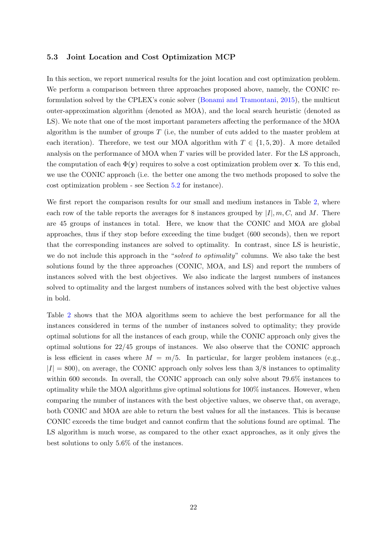#### 5.3 Joint Location and Cost Optimization MCP

In this section, we report numerical results for the joint location and cost optimization problem. We perform a comparison between three approaches proposed above, namely, the CONIC reformulation solved by the CPLEX's conic solver [\(Bonami and Tramontani,](#page-27-3) [2015\)](#page-27-3), the multicut outer-approximation algorithm (denoted as MOA), and the local search heuristic (denoted as LS). We note that one of the most important parameters affecting the performance of the MOA algorithm is the number of groups T (i.e, the number of cuts added to the master problem at each iteration). Therefore, we test our MOA algorithm with  $T \in \{1, 5, 20\}$ . A more detailed analysis on the performance of MOA when T varies will be provided later. For the LS approach, the computation of each  $\Phi(\mathbf{y})$  requires to solve a cost optimization problem over x. To this end, we use the CONIC approach (i.e. the better one among the two methods proposed to solve the cost optimization problem - see Section [5.2](#page-19-0) for instance).

We first report the comparison results for our small and medium instances in Table [2,](#page-22-0) where each row of the table reports the averages for 8 instances grouped by  $|I|, m, C$ , and M. There are 45 groups of instances in total. Here, we know that the CONIC and MOA are global approaches, thus if they stop before exceeding the time budget (600 seconds), then we report that the corresponding instances are solved to optimality. In contrast, since LS is heuristic, we do not include this approach in the "solved to optimality" columns. We also take the best solutions found by the three approaches (CONIC, MOA, and LS) and report the numbers of instances solved with the best objectives. We also indicate the largest numbers of instances solved to optimality and the largest numbers of instances solved with the best objective values in bold.

Table [2](#page-22-0) shows that the MOA algorithms seem to achieve the best performance for all the instances considered in terms of the number of instances solved to optimality; they provide optimal solutions for all the instances of each group, while the CONIC approach only gives the optimal solutions for 22/45 groups of instances. We also observe that the CONIC approach is less efficient in cases where  $M = m/5$ . In particular, for larger problem instances (e.g.,  $|I| = 800$ , on average, the CONIC approach only solves less than  $3/8$  instances to optimality within 600 seconds. In overall, the CONIC approach can only solve about 79.6% instances to optimality while the MOA algorithms give optimal solutions for 100% instances. However, when comparing the number of instances with the best objective values, we observe that, on average, both CONIC and MOA are able to return the best values for all the instances. This is because CONIC exceeds the time budget and cannot confirm that the solutions found are optimal. The LS algorithm is much worse, as compared to the other exact approaches, as it only gives the best solutions to only 5.6% of the instances.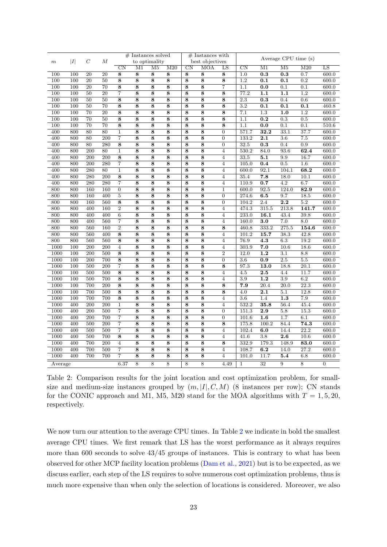<span id="page-22-0"></span>

|                        |     |                  | М                | $#$ Instances solved    |                         |                    |                    | $#$ Instances with     |                         |                    | Average CPU time (s)   |                          |                        |                   |                |
|------------------------|-----|------------------|------------------|-------------------------|-------------------------|--------------------|--------------------|------------------------|-------------------------|--------------------|------------------------|--------------------------|------------------------|-------------------|----------------|
| I <br>$\boldsymbol{m}$ |     | $\,$ $\,$        |                  | to optimality           |                         |                    | best objectives    |                        |                         |                    |                        |                          |                        |                   |                |
|                        |     |                  |                  | CΝ                      | M1                      | M5                 | M20                | $\overline{\text{CN}}$ | <b>MOA</b>              | LS                 | $\overline{\text{CN}}$ | $\overline{\mathrm{M1}}$ | $\overline{\text{M5}}$ | M20               | LS             |
| 100                    | 100 | 20               | 20               | $\overline{\bf 8}$      | $\overline{\bf 8}$      | $\overline{\bf 8}$ | 8                  | $\overline{8}$         | $\overline{\bf 8}$      | $\overline{\bf 8}$ | 1.0                    | 0.3                      | 0.3                    | 0.7               | 600.0          |
| 100                    | 100 | $\overline{20}$  | 50               | $\overline{\bf 8}$      | $\overline{8}$          | $\overline{\bf 8}$ | $\overline{8}$     | $\overline{\bf 8}$     | $\overline{\bf 8}$      | $\overline{\bf 8}$ | $\overline{1.2}$       | 0.1                      | 0.1                    | $\overline{0.2}$  | 600.0          |
| 100                    | 100 | 20               | 70               | 8                       | 8                       | 8                  | 8                  | 8                      | 8                       | 7                  | 1.1                    | 0.0                      | 0.1                    | 0.1               | 600.0          |
| 100                    | 100 | 50               | 20               | $\overline{7}$          | $\overline{8}$          | $\overline{8}$     | $\overline{8}$     | $\overline{8}$         | $\overline{8}$          | 8                  | 77.2                   | 1.1                      | 1.1                    | $\overline{1.2}$  | 600.0          |
| 100                    | 100 | $\overline{50}$  | $\overline{50}$  | $\overline{\bf 8}$      | $\overline{\mathbf{8}}$ | $\overline{\bf 8}$ | $\overline{\bf 8}$ | $\overline{\bf 8}$     | $\overline{\mathbf{8}}$ | $\overline{\bf 8}$ | $\overline{2.3}$       | 0.3                      | 0.4                    | 0.6               | 600.0          |
| 100                    | 100 | $\overline{50}$  | $\overline{70}$  | $\overline{\bf 8}$      | $\overline{\bf 8}$      | $\overline{\bf 8}$ | $\overline{\bf 8}$ | $\overline{\bf 8}$     | $\overline{\bf 8}$      | $\overline{\bf 8}$ | $\overline{3.2}$       | $\overline{0.1}$         | $\overline{0.1}$       | $\overline{0.1}$  | 460.8          |
| 100                    | 100 | 70               | 20               | 8                       | $\overline{\bf 8}$      | 8                  | 8                  | 8                      | 8                       | 8                  | 7.1                    | 1.3                      | 1.0                    | 1.2               | 600.0          |
| 100                    | 100 | $\overline{70}$  | 50               | $\overline{\bf 8}$      | $\overline{\bf 8}$      | $\overline{\bf 8}$ | $\overline{\bf 8}$ | $\overline{\bf 8}$     | $\overline{\bf 8}$      | $\overline{\bf 8}$ | 1.1                    | $\overline{0.2}$         | 0.3                    | 0.5               | 600.0          |
| $\overline{100}$       | 100 | $\overline{70}$  | 70               | $\overline{\mathbf{8}}$ | $\overline{\bf 8}$      | $\overline{\bf 8}$ | $\overline{\bf 8}$ | $\overline{\bf 8}$     | $\overline{\bf 8}$      | $\overline{\bf 8}$ | $\overline{1}.1$       | 0.0                      | $\overline{0.1}$       | $\overline{0.1}$  | 510.6          |
| 400                    | 800 | 80               | 80               | $\mathbf{1}$            | $\overline{\bf 8}$      | 8                  | 8                  | 8                      | $\overline{\bf 8}$      | $\overline{0}$     | 571.7                  | 32.2                     | 33.1                   | 37.7              | 600.0          |
| 400                    | 800 | 80               | 200              | 7                       | 8                       | 8                  | 8                  | 8                      | 8                       | $\boldsymbol{0}$   | 133.2                  | 2.1                      | 3.6                    | 7.5               | 600.0          |
| 400                    | 800 | 80               | 280              | 8                       | 8                       | 8                  | 8                  | 8                      | 8                       | $\overline{0}$     | 32.5                   | 0.3                      | 0.4                    | 0.9               | 600.0          |
| 400                    | 800 | 200              | 80               | $\mathbf{1}$            | 8                       | 8                  | 8                  | 8                      | 8                       | $\overline{4}$     | 530.2                  | 84.0                     | 93.6                   | 62.4              | 600.0          |
| 400                    | 800 | 200              | 200              | $\overline{\bf 8}$      | $\overline{8}$          | $\overline{8}$     | 8                  | 8                      | 8                       | $\overline{4}$     | 33.5                   | 5.1                      | 9.9                    | 16.7              | 600.0          |
| 400                    | 800 | 200              | 280              | 7                       | $\overline{\bf 8}$      | 8                  | 8                  | 8                      | 8                       | $\overline{4}$     | 105.0                  | 0.4                      | 0.5                    | 1.6               | 600.0          |
| 400                    | 800 | 280              | 80               | $\mathbf 1$             | 8                       | 8                  | 8                  | 8                      | 8                       | $\overline{4}$     | $600.\overline{0}$     | 92.1                     | 104.1                  | 68.2              | 600.0          |
| 400                    | 800 | 280              | 200              | $\overline{\bf 8}$      | $\overline{\bf 8}$      | 8                  | 8                  | $\overline{\bf 8}$     | $\overline{\bf 8}$      | $\overline{4}$     | 35.4                   | 7.8                      | 18.0                   | 10.1              | 600.0          |
| 400                    | 800 | 280              | 280              | $\overline{7}$          | $\overline{\bf 8}$      | $\overline{\bf 8}$ | $\overline{8}$     | $\overline{\bf 8}$     | $\overline{\bf 8}$      | $\overline{4}$     | 110.9                  | 0.7                      | $\overline{4.2}$       | 6.7               | 600.0          |
| 800                    | 800 | 160              | 160              | $\overline{0}$          | 8                       | 8                  | 8                  | 8                      | 8                       | $\mathbf{1}$       | 600.0                  | 92.5                     | 124.0                  | 82.9              | 600.0          |
| 800                    | 800 | 160              | 400              | $\bf 5$                 | 8                       | 8                  | 8                  | 8                      | 8                       | $\theta$           | 274.6                  | 6.5                      | 9.7                    | 18.5              | 600.0          |
| 800                    | 800 | 160              | 560              | $\overline{\bf 8}$      | $\overline{\mathbf{8}}$ | $\overline{8}$     | $\overline{8}$     | $\overline{\bf 8}$     | $\overline{\bf 8}$      | $\overline{0}$     | 104.2                  | $\overline{2.4}$         | $\overline{2.2}$       | $\overline{5.2}$  | 600.0          |
| 800                    | 800 | 400              | 160              | $\overline{2}$          | $\overline{\bf 8}$      | $\overline{\bf 8}$ | $\overline{\bf 8}$ | $\overline{\bf 8}$     | $\overline{\bf 8}$      | $\overline{4}$     | 474.3                  | 315.5                    | $\overline{213.8}$     | 141.7             | 600.0          |
| 800                    | 800 | 400              | 400              | $\overline{6}$          | 8                       | 8                  | 8                  | 8                      | 8                       | $\overline{4}$     | 233.0                  | 16.1                     | 43.4                   | 39.8              | 600.0          |
| 800                    | 800 | 400              | 560              | $\overline{7}$          | $\overline{\bf 8}$      | 8                  | 8                  | $\overline{\bf 8}$     | $\overline{\bf 8}$      | $\overline{4}$     | 160.0                  | 3.0                      | 7.0                    | 8.0               | 600.0          |
| 800                    | 800 | 560              | 160              | $\overline{2}$          | $\overline{\bf 8}$      | $\overline{\bf 8}$ | $\overline{\bf 8}$ | $\overline{\bf 8}$     | $\overline{\bf 8}$      | $\overline{\bf 8}$ | 460.8                  | 333.2                    | $\overline{275.5}$     | 154.6             | 600.0          |
| 800                    | 800 | 560              | 400              | 8                       | 8                       | 8                  | 8                  | 8                      | 8                       | $\overline{4}$     | 101.2                  | 15.7                     | 38.3                   | 42.8              | 600.0          |
| 800                    | 800 | 560              | 560              | 8                       | 8                       | 8                  | 8                  | 8                      | 8                       | $\overline{4}$     | 76.9                   | 4.3                      | 6.3                    | 19.2              | 600.0          |
| 1000                   | 100 | 200              | 200              | $\overline{4}$          | 8                       | 8                  | 8                  | 8                      | 8                       | $\overline{4}$     | 303.9                  | 7.0                      | 10.6                   | 18.6              | 600.0          |
| 1000                   | 100 | 200              | 500              | 8                       | 8                       | 8                  | 8                  | 8                      | 8                       | $\overline{2}$     | 12.0                   | 1.2                      | 3.1                    | 8.8               | 600.0          |
| 1000                   | 100 | 200              | 700              | $\overline{\mathbf{8}}$ | $\overline{\bf 8}$      | 8                  | 8                  | 8                      | 8                       | $\overline{0}$     | 3.6                    | 0.9                      | 2.5                    | 5.5               | 600.0          |
| 1000                   | 100 | 500              | 200              | $\overline{7}$          | $\overline{\bf 8}$      | 8                  | 8                  | $\overline{\bf 8}$     | $\overline{\bf 8}$      | $\overline{\bf 8}$ | 97.3                   | 13.0                     | 18.8                   | $\overline{20.1}$ | 600.0          |
| 1000                   | 100 | 500              | 500              | 8                       | 8                       | 8                  | 8                  | 8                      | 8                       | $\overline{4}$     | 4.5                    | 2.5                      | 4.4                    | 11.7              | 600.0          |
| 1000                   | 100 | 500              | 700              | $\overline{\bf 8}$      | $\overline{8}$          | $\overline{8}$     | 8                  | $\overline{8}$         | $\overline{8}$          | $\overline{4}$     | 3.9                    | 1.2                      | 3.9                    | 6.2               | 600.0          |
| 1000                   | 100 | 700              | $\overline{200}$ | $\overline{\bf 8}$      | $\overline{\bf 8}$      | $\overline{\bf 8}$ | $\overline{\bf 8}$ | $\overline{\bf 8}$     | $\overline{\bf 8}$      | $\overline{\bf 8}$ | 7.9                    | 20.4                     | 20.0                   | $\overline{22.3}$ | 600.0          |
| 1000                   | 100 | 700              | 500              | $\overline{\bf 8}$      | $\overline{\bf 8}$      | $\overline{8}$     | $\overline{8}$     | $\overline{\bf 8}$     | $\overline{\bf 8}$      | $\overline{\bf 8}$ | 4.0                    | $\overline{2.1}$         | 5.1                    | 12.8              | 600.0          |
| 1000                   | 100 | 700              | 700              | 8                       | 8                       | 8                  | 8                  | 8                      | 8                       | $\overline{4}$     | 3.6                    | 1.4                      | 1.3                    | 7.9               | 600.0          |
| 1000                   | 400 | 200              | $\overline{200}$ | $\overline{1}$          | $\overline{\bf 8}$      | $\overline{8}$     | $\overline{8}$     | $\overline{8}$         | $\overline{8}$          | $\overline{4}$     | 532.2                  | 35.8                     | 56.4                   | 45.4              | 600.0          |
| 1000                   | 400 | $\overline{200}$ | $\overline{500}$ | $\overline{7}$          | $\overline{\mathbf{8}}$ | $\overline{\bf 8}$ | $\overline{\bf 8}$ | $\overline{\bf 8}$     | $\overline{\mathbf{8}}$ | $\overline{0}$     | 151.3                  | $\overline{2.9}$         | 5.8                    | 15.3              | 600.0          |
| 1000                   | 400 | 200              | 700              | $\overline{7}$          | $\overline{\bf 8}$      | $\overline{\bf 8}$ | 8                  | 8                      | $\overline{\mathbf{8}}$ | $\overline{0}$     | 101.6                  | 1.6                      | 1.7                    | 6.1               | 600.0          |
| 1000                   | 400 | 500              | $\overline{200}$ | $\overline{7}$          | $\overline{\bf 8}$      | $\overline{\bf 8}$ | $\overline{\bf 8}$ | $\overline{\bf 8}$     | $\overline{\bf 8}$      | 8                  | 175.8                  | 100.2                    | 84.4                   | 74.3              | 600.0          |
| 1000                   | 400 | 500              | 500              | $\overline{7}$          | $\overline{\bf 8}$      | $\overline{\bf 8}$ | $\overline{\bf 8}$ | $\overline{\bf 8}$     | $\overline{\bf 8}$      | $\overline{4}$     | 102.4                  | 6.0                      | 14.4                   | $\overline{22.2}$ | 600.0          |
| 1000                   | 400 | 500              | 700              | 8                       | 8                       | 8                  | 8                  | 8                      | 8                       | $\overline{4}$     | 41.6                   | 3.8                      | 2.6                    | 10.6              | 600.0          |
| 1000                   | 400 | 700              | 200              | $\overline{4}$          | $\overline{8}$          | $\overline{8}$     | $\overline{\bf 8}$ | $\overline{\bf 8}$     | $\overline{\bf 8}$      | $\overline{\bf 8}$ | 332.9                  | 179.3                    | 148.9                  | 83.0              | 600.0          |
| 1000                   | 400 | 700              | 500              | 7                       | 8                       | 8                  | 8                  | 8                      | 8                       | $\overline{4}$     | 108.7                  | 6.2                      | 14.0                   | 27.2              | 600.0          |
| 1000                   | 400 | 700              | 700              | $\overline{7}$          | 8                       | 8                  | 8                  | 8                      | 8                       | $\overline{4}$     | 101.0                  | 11.7                     | 5.4                    | 6.8               | 600.0          |
|                        |     |                  |                  |                         |                         |                    |                    |                        |                         |                    |                        |                          |                        |                   |                |
| Average                |     |                  |                  | 6.37                    | $\overline{8}$          | $\overline{8}$     | 8                  | $\overline{8}$         | 8                       | 4.49               | $\mathbf{1}$           | $\overline{32}$          | 9                      | $\overline{8}$    | $\overline{0}$ |

Table 2: Comparison results for the joint location and cost optimization problem, for smallsize and medium-size instances grouped by  $(m, |I|, C, M)$  (8 instances per row); CN stands for the CONIC approach and M1, M5, M20 stand for the MOA algorithms with  $T = 1, 5, 20$ , respectively.

We now turn our attention to the average CPU times. In Table [2](#page-22-0) we indicate in bold the smallest average CPU times. We first remark that LS has the worst performance as it always requires more than 600 seconds to solve 43/45 groups of instances. This is contrary to what has been observed for other MCP facility location problems [\(Dam et al.,](#page-28-0) [2021\)](#page-28-0) but is to be expected, as we discuss earlier, each step of the LS requires to solve numerous cost optimization problems, thus is much more expensive than when only the selection of locations is considered. Moreover, we also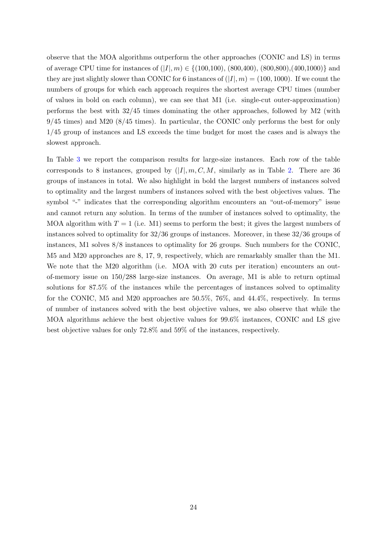observe that the MOA algorithms outperform the other approaches (CONIC and LS) in terms of average CPU time for instances of  $(|I|, m) \in \{(100, 100), (800, 400), (800, 800), (400, 1000)\}\$  and they are just slightly slower than CONIC for 6 instances of  $(|I|, m) = (100, 1000)$ . If we count the numbers of groups for which each approach requires the shortest average CPU times (number of values in bold on each column), we can see that M1 (i.e. single-cut outer-approximation) performs the best with 32/45 times dominating the other approaches, followed by M2 (with 9/45 times) and M20 (8/45 times). In particular, the CONIC only performs the best for only 1/45 group of instances and LS exceeds the time budget for most the cases and is always the slowest approach.

In Table [3](#page-24-0) we report the comparison results for large-size instances. Each row of the table corresponds to 8 instances, grouped by  $(|I|, m, C, M,$  similarly as in Table [2.](#page-22-0) There are 36 groups of instances in total. We also highlight in bold the largest numbers of instances solved to optimality and the largest numbers of instances solved with the best objectives values. The symbol "-" indicates that the corresponding algorithm encounters an "out-of-memory" issue and cannot return any solution. In terms of the number of instances solved to optimality, the MOA algorithm with  $T = 1$  (i.e. M1) seems to perform the best; it gives the largest numbers of instances solved to optimality for 32/36 groups of instances. Moreover, in these 32/36 groups of instances, M1 solves 8/8 instances to optimality for 26 groups. Such numbers for the CONIC, M5 and M20 approaches are 8, 17, 9, respectively, which are remarkably smaller than the M1. We note that the M20 algorithm (i.e. MOA with 20 cuts per iteration) encounters an outof-memory issue on 150/288 large-size instances. On average, M1 is able to return optimal solutions for 87.5% of the instances while the percentages of instances solved to optimality for the CONIC, M5 and M20 approaches are 50.5%, 76%, and 44.4%, respectively. In terms of number of instances solved with the best objective values, we also observe that while the MOA algorithms achieve the best objective values for 99.6% instances, CONIC and LS give best objective values for only 72.8% and 59% of the instances, respectively.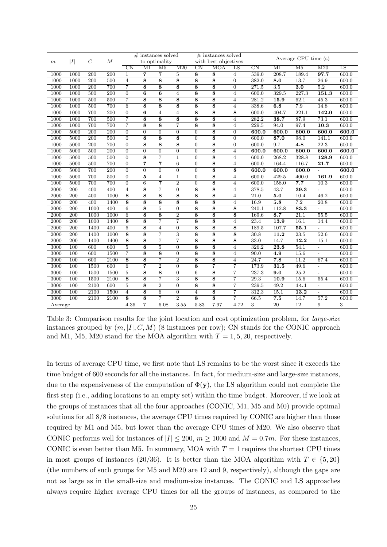<span id="page-24-0"></span>

|                        |                  |                  |                  | $#$ instances solved |                         |                         | $#$ instances solved |                        |                         | Average CPU time (s) |                        |                  |                  |                   |                |
|------------------------|------------------|------------------|------------------|----------------------|-------------------------|-------------------------|----------------------|------------------------|-------------------------|----------------------|------------------------|------------------|------------------|-------------------|----------------|
| I <br>$\boldsymbol{m}$ |                  | $\boldsymbol{C}$ | $\boldsymbol{M}$ | to optimality        |                         |                         | with best objectives |                        |                         |                      |                        |                  |                  |                   |                |
|                        |                  |                  |                  | CN                   | M1                      | M <sub>5</sub>          | M20                  | $\overline{\text{CN}}$ | <b>MOA</b>              | LS                   | $\overline{\text{CN}}$ | M1               | M <sub>5</sub>   | M20               | LS             |
| 1000                   | 1000             | 200              | 200              | $\mathbf{1}$         | $\overline{7}$          | 7                       | $\overline{5}$       | $\overline{\bf 8}$     | 8                       | 4                    | 539.0                  | 208.7            | 189.4            | 97.7              | 600.0          |
| 1000                   | 1000             | 200              | 500              | $\overline{4}$       | 8                       | 8                       | $\overline{\bf 8}$   | 8                      | 8                       | $\overline{0}$       | 382.0                  | 8.0              | 13.7             | $\overline{26.9}$ | 600.0          |
| 1000                   | 1000             | 200              | 700              | $\overline{7}$       | 8                       | 8                       | 8                    | 8                      | 8                       | $\overline{0}$       | 271.5                  | $\overline{3.5}$ | 3.0              | $\overline{5.2}$  | 600.0          |
| 1000                   | 1000             | 500              | $\overline{200}$ | $\overline{0}$       | $\overline{6}$          | $\overline{6}$          | $\overline{4}$       | $\overline{\bf 8}$     | $\overline{\bf 8}$      | $\overline{4}$       | 600.0                  | 329.5            | 227.3            | 151.3             | 600.0          |
| 1000                   | 1000             | 500              | 500              | $\overline{7}$       | $\overline{\bf 8}$      | $\overline{\bf 8}$      | $\overline{\bf 8}$   | $\overline{8}$         | $\overline{8}$          | 4                    | 281.2                  | 15.9             | 62.1             | 45.3              | 600.0          |
| 1000                   | 1000             | 500              | 700              | 6                    | $\overline{8}$          | $\overline{8}$          | $\overline{\bf 8}$   | 8                      | 8                       | $\overline{4}$       | 338.6                  | 6.8              | 7.9              | 14.8              | 600.0          |
| 1000                   | 1000             | 700              | 200              | $\overline{0}$       | $\overline{6}$          | $\overline{4}$          | $\overline{4}$       | 8                      | $\bf8$                  | 8                    | 600.0                  | 404.7            | 221.1            | 142.0             | 600.0          |
| 1000                   | 1000             | 700              | 500              | $\overline{7}$       | 8                       | 8                       | 8                    | 8                      | 8                       | 4                    | 282.2                  | 38.7             | 87.9             | 73.1              | 600.0          |
| 1000                   | 1000             | 700              | 700              | $\overline{7}$       | $\overline{\bf 8}$      | $\overline{\bf 8}$      | 7                    | 8                      | 8                       | 4                    | 229.5                  | 94.0             | 97.4             | $\overline{10.3}$ | 600.0          |
| 1000                   | 5000             | 200              | 200              | $\overline{0}$       | $\overline{0}$          | $\overline{0}$          | $\overline{0}$       | $\mathbf{0}$           | 8                       | $\overline{0}$       | 600.0                  | 600.0            | 600.0            | 600.0             | 600.0          |
| 1000                   | 5000             | $\overline{200}$ | 500              | $\overline{0}$       | $\overline{8}$          | $\overline{8}$          | $\overline{8}$       | $\overline{0}$         | $\overline{8}$          | $\overline{0}$       | 600.0                  | 87.0             | 98.0             | 141.1             | 600.0          |
| 1000                   | 5000             | $\overline{200}$ | 700              | $\overline{0}$       | $\overline{\bf 8}$      | $\overline{\bf 8}$      | $\overline{\bf 8}$   | $\boldsymbol{0}$       | $\overline{\bf 8}$      | $\overline{0}$       | 600.0                  | 9.7              | $\overline{4.8}$ | $\overline{22.3}$ | 600.0          |
| 1000                   | 5000             | 500              | $\overline{200}$ | $\Omega$             | $\overline{0}$          | $\theta$                | $\overline{0}$       | $\Omega$               | 8                       | $\overline{4}$       | 600.0                  | 600.0            | 600.0            | 600.0             | 600.0          |
| 1000                   | 5000             | 500              | 500              | $\overline{0}$       | $\overline{\bf 8}$      | $\overline{7}$          | $\overline{1}$       | $\overline{0}$         | 8                       | $\overline{4}$       | 600.0                  | 268.2            | 328.8            | 128.9             | 600.0          |
| 1000                   | 5000             | 500              | 700              | $\overline{0}$       | $\overline{\mathbf{7}}$ | $\overline{\mathbf{7}}$ | $\overline{6}$       | $\overline{0}$         | $\overline{\bf 8}$      | $\overline{4}$       | 600.0                  | 164.4            | 116.7            | $\overline{21.7}$ | 600.0          |
| 1000                   | 5000             | 700              | 200              | $\overline{0}$       | $\overline{0}$          | $\overline{0}$          | $\overline{0}$       | $\theta$               | 8                       | 8                    | 600.0                  | 600.0            | 600.0            |                   | 600.0          |
| 1000                   | 5000             | 700              | 500              | $\overline{0}$       | $\overline{5}$          | $\overline{4}$          | $\mathbf{1}$         | $\boldsymbol{0}$       | 8                       | 4                    | 600.0                  | 429.5            | 400.0            | 161.9             | 600.0          |
| 1000                   | 5000             | 700              | 700              | $\overline{0}$       | $\overline{6}$          | $\overline{\mathbf{7}}$ | $\overline{2}$       | $\theta$               | 8                       | $\overline{4}$       | 600.0                  | 158.0            | 7.7              | 10.3              | 600.0          |
| 2000                   | 200              | 400              | 400              | $\overline{4}$       | 8                       | $\overline{7}$          | $\overline{0}$       | 8                      | 8                       | $\overline{4}$       | 378.5                  | 43.7             | 39.3             |                   | 600.0          |
| 2000                   | 200              | 400              | 1000             | $\overline{\bf 8}$   | 8                       | 8                       | 8                    | 8                      | 8                       | $\overline{4}$       | 21.0                   | 5.0              | 10.4             | 46.2              | 600.0          |
| 2000                   | $\overline{200}$ | 400              | 1400             | $\overline{\bf 8}$   | $\overline{\bf 8}$      | $\overline{\bf 8}$      | $\overline{\bf 8}$   | $\overline{\bf 8}$     | $\overline{\bf 8}$      | $\overline{4}$       | 16.9                   | 5.8              | $\overline{7.2}$ | $\overline{20.8}$ | 600.0          |
| 2000                   | $\overline{200}$ | 1000             | 400              | $6\overline{6}$      | $\overline{\bf 8}$      | $\overline{5}$          | $\overline{0}$       | 8                      | 8                       | 8                    | 240.1                  | 112.8            | 83.3             |                   | 600.0          |
| 2000                   | 200              | 1000             | 1000             | $6\phantom{1}6$      | 8                       | 8                       | $\overline{2}$       | 8                      | 8                       | 8                    | 169.6                  | 8.7              | 21.1             | 55.5              | 600.0          |
| 2000                   | 200              | 1000             | 1400             | 8                    | $\overline{\bf 8}$      | $\overline{7}$          | $\overline{7}$       | 8                      | $\overline{\mathbf{8}}$ | 4                    | 23.4                   | 13.9             | 16.1             | 14.4              | 600.0          |
| 2000                   | 200              | 1400             | 400              | $6\phantom{1}6$      | 8                       | $\overline{4}$          | $\boldsymbol{0}$     | 8                      | 8                       | 8                    | 189.5                  | 107.7            | 55.1             |                   | 600.0          |
| 2000                   | 200              | 1400             | 1000             | 8                    | 8                       | $\overline{7}$          | 3                    | 8                      | 8                       | 8                    | 30.8                   | 11.2             | 23.5             | 52.6              | 600.0          |
| 2000                   | 200              | 1400             | 1400             | 8                    | 8                       | $\overline{7}$          | $\overline{7}$       | 8                      | $\overline{8}$          | 8                    | 33.0                   | 14.7             | 12.2             | 15.1              | 600.0          |
| 3000                   | 100              | 600              | 600              | $\overline{5}$       | $\overline{\bf 8}$      | $\overline{5}$          | $\overline{0}$       | $\overline{\bf 8}$     | $\overline{\bf 8}$      | $\overline{4}$       | 326.2                  | 23.8             | 54.1             | $\overline{a}$    | 600.0          |
| 3000                   | 100              | 600              | 1500             | $\overline{7}$       | 8                       | 8                       | $\boldsymbol{0}$     | 8                      | 8                       | $\overline{4}$       | 90.0                   | 4.9              | 15.6             |                   | 600.0          |
| 3000                   | 100              | 600              | 2100             | 8                    | $\overline{8}$          | $\overline{7}$          | $\overline{2}$       | 8                      | 8                       | $\overline{4}$       | 24.7                   | 7.8              | 11.2             | 67.4              | 600.0          |
| 3000                   | 100              | 1500             | 600              | 6                    | $\overline{\mathbf{7}}$ | $\overline{2}$          | $\overline{0}$       | 8                      | 7                       | $\overline{7}$       | 173.9                  | 31.5             | 49.6             | $\overline{a}$    | 600.0          |
| 3000                   | 100              | 1500             | 1500             | $\overline{5}$       | 8                       | 8                       | $\overline{0}$       | 6                      | 8                       | 7                    | 237.3                  | 9.0              | 25.2             | $\overline{a}$    | 600.0          |
| 3000                   | 100              | 1500             | 2100             | $\overline{8}$       | 8                       | $\overline{7}$          | 3                    | 8                      | 8                       | 7                    | 29.3                   | 10.9             | 15.6             | 55.4              | 600.0          |
| 3000                   | 100              | 2100             | 600              | $\overline{5}$       | $\overline{\bf 8}$      | $\overline{2}$          | $\overline{0}$       | $\overline{\bf 8}$     | $\overline{\bf 8}$      | $\overline{7}$       | 239.5                  | 49.2             | 14.1             | $\overline{a}$    | 600.0          |
| 3000                   | 100              | 2100             | 1500             | $\overline{4}$       | $\overline{\bf 8}$      | $\overline{6}$          | $\overline{0}$       | $\overline{4}$         | $\overline{\bf 8}$      | 7                    | 312.3                  | 15.1             | 13.2             | $\overline{a}$    | 600.0          |
| 3000                   | 100              | 2100             | 2100             | 8                    | 8                       | $\overline{7}$          | $\overline{2}$       | 8                      | 8                       | $\overline{7}$       | 66.5                   | 7.5              | 14.7             | 57.2              | 600.0          |
| Average                |                  |                  |                  | 4.36                 | $\overline{7}$          | 6.08                    | 3.55                 | 5.83                   | 7.97                    | 4.72                 | 3                      | 20               | $\overline{12}$  | 9                 | $\overline{3}$ |

Table 3: Comparison results for the joint location and cost optimization problem, for *large-size* instances grouped by  $(m, |I|, C, M)$  (8 instances per row); CN stands for the CONIC approach and M1, M5, M20 stand for the MOA algorithm with  $T = 1, 5, 20$ , respectively.

In terms of average CPU time, we first note that LS remains to be the worst since it exceeds the time budget of 600 seconds for all the instances. In fact, for medium-size and large-size instances, due to the expensiveness of the computation of  $\Phi(\mathbf{y})$ , the LS algorithm could not complete the first step (i.e., adding locations to an empty set) within the time budget. Moreover, if we look at the groups of instances that all the four approaches (CONIC, M1, M5 and M0) provide optimal solutions for all 8/8 instances, the average CPU times required by CONIC are higher than those required by M1 and M5, but lower than the average CPU times of M20. We also observe that CONIC performs well for instances of  $|I| \le 200$ ,  $m \ge 1000$  and  $M = 0.7m$ . For these instances, CONIC is even better than M5. In summary, MOA with  $T = 1$  requires the shortest CPU times in most groups of instances (20/36). It is better than the MOA algorithm with  $T \in \{5, 20\}$ (the numbers of such groups for M5 and M20 are 12 and 9, respectively), although the gaps are not as large as in the small-size and medium-size instances. The CONIC and LS approaches always require higher average CPU times for all the groups of instances, as compared to the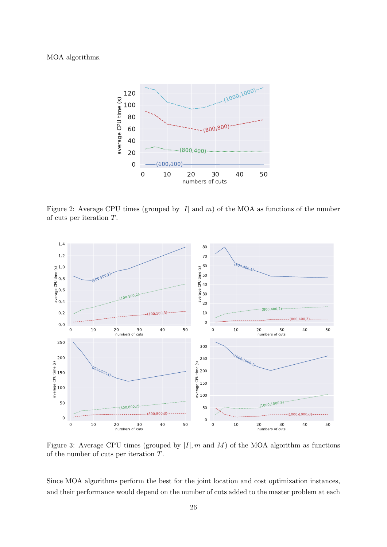#### <span id="page-25-0"></span>MOA algorithms.



Figure 2: Average CPU times (grouped by  $|I|$  and m) of the MOA as functions of the number of cuts per iteration T.

<span id="page-25-1"></span>

Figure 3: Average CPU times (grouped by  $|I|, m$  and M) of the MOA algorithm as functions of the number of cuts per iteration T.

Since MOA algorithms perform the best for the joint location and cost optimization instances, and their performance would depend on the number of cuts added to the master problem at each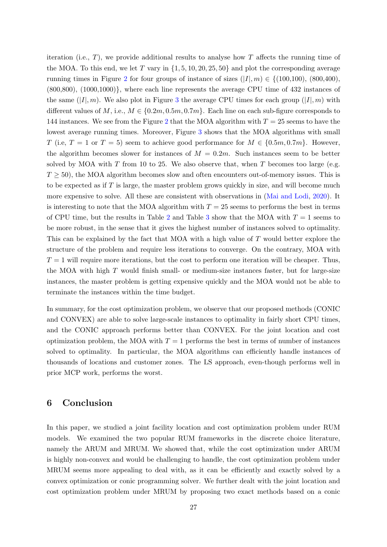iteration (i.e.,  $T$ ), we provide additional results to analyse how  $T$  affects the running time of the MOA. To this end, we let T vary in  $\{1, 5, 10, 20, 25, 50\}$  and plot the corresponding average running times in Figure [2](#page-25-0) for four groups of instance of sizes  $(|I|, m) \in \{(100, 100), (800, 400),$ (800,800), (1000,1000)}, where each line represents the average CPU time of 432 instances of the same  $(|I|, m)$ . We also plot in Figure [3](#page-25-1) the average CPU times for each group  $(|I|, m)$  with different values of M, i.e.,  $M \in \{0.2m, 0.5m, 0.7m\}$ . Each line on each sub-figure corresponds to 144 instances. We see from the Figure [2](#page-25-0) that the MOA algorithm with  $T = 25$  seems to have the lowest average running times. Moreover, Figure [3](#page-25-1) shows that the MOA algorithms with small T (i.e,  $T = 1$  or  $T = 5$ ) seem to achieve good performance for  $M \in \{0.5m, 0.7m\}$ . However, the algorithm becomes slower for instances of  $M = 0.2m$ . Such instances seem to be better solved by MOA with T from 10 to 25. We also observe that, when T becomes too large (e.g.  $T \geq 50$ , the MOA algorithm becomes slow and often encounters out-of-memory issues. This is to be expected as if T is large, the master problem grows quickly in size, and will become much more expensive to solve. All these are consistent with observations in [\(Mai and Lodi,](#page-29-1) [2020\)](#page-29-1). It is interesting to note that the MOA algorithm with  $T = 25$  seems to performs the best in terms of CPU time, but the results in Table [2](#page-22-0) and Table [3](#page-24-0) show that the MOA with  $T = 1$  seems to be more robust, in the sense that it gives the highest number of instances solved to optimality. This can be explained by the fact that MOA with a high value of T would better explore the structure of the problem and require less iterations to converge. On the contrary, MOA with  $T = 1$  will require more iterations, but the cost to perform one iteration will be cheaper. Thus, the MOA with high  $T$  would finish small- or medium-size instances faster, but for large-size instances, the master problem is getting expensive quickly and the MOA would not be able to terminate the instances within the time budget.

In summary, for the cost optimization problem, we observe that our proposed methods (CONIC and CONVEX) are able to solve large-scale instances to optimality in fairly short CPU times, and the CONIC approach performs better than CONVEX. For the joint location and cost optimization problem, the MOA with  $T = 1$  performs the best in terms of number of instances solved to optimality. In particular, the MOA algorithms can efficiently handle instances of thousands of locations and customer zones. The LS approach, even-though performs well in prior MCP work, performs the worst.

## <span id="page-26-0"></span>6 Conclusion

In this paper, we studied a joint facility location and cost optimization problem under RUM models. We examined the two popular RUM frameworks in the discrete choice literature, namely the ARUM and MRUM. We showed that, while the cost optimization under ARUM is highly non-convex and would be challenging to handle, the cost optimization problem under MRUM seems more appealing to deal with, as it can be efficiently and exactly solved by a convex optimization or conic programming solver. We further dealt with the joint location and cost optimization problem under MRUM by proposing two exact methods based on a conic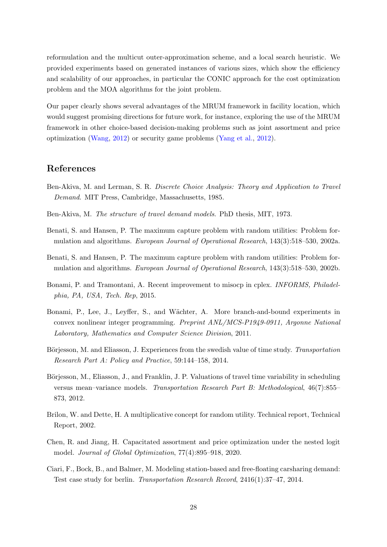reformulation and the multicut outer-approximation scheme, and a local search heuristic. We provided experiments based on generated instances of various sizes, which show the efficiency and scalability of our approaches, in particular the CONIC approach for the cost optimization problem and the MOA algorithms for the joint problem.

Our paper clearly shows several advantages of the MRUM framework in facility location, which would suggest promising directions for future work, for instance, exploring the use of the MRUM framework in other choice-based decision-making problems such as joint assortment and price optimization [\(Wang,](#page-30-2) [2012\)](#page-30-2) or security game problems [\(Yang et al.,](#page-30-5) [2012\)](#page-30-5).

# References

- <span id="page-27-1"></span>Ben-Akiva, M. and Lerman, S. R. Discrete Choice Analysis: Theory and Application to Travel Demand. MIT Press, Cambridge, Massachusetts, 1985.
- <span id="page-27-9"></span>Ben-Akiva, M. The structure of travel demand models. PhD thesis, MIT, 1973.
- <span id="page-27-0"></span>Benati, S. and Hansen, P. The maximum capture problem with random utilities: Problem formulation and algorithms. European Journal of Operational Research, 143(3):518–530, 2002a.
- <span id="page-27-10"></span>Benati, S. and Hansen, P. The maximum capture problem with random utilities: Problem formulation and algorithms. European Journal of Operational Research, 143(3):518–530, 2002b.
- <span id="page-27-3"></span>Bonami, P. and Tramontani, A. Recent improvement to misocp in cplex. INFORMS, Philadelphia, PA, USA, Tech. Rep, 2015.
- <span id="page-27-4"></span>Bonami, P., Lee, J., Leyffer, S., and Wächter, A. More branch-and-bound experiments in convex nonlinear integer programming. Preprint ANL/MCS-P1949-0911, Argonne National Laboratory, Mathematics and Computer Science Division, 2011.
- <span id="page-27-6"></span>Börjesson, M. and Eliasson, J. Experiences from the swedish value of time study. Transportation Research Part A: Policy and Practice, 59:144–158, 2014.
- <span id="page-27-7"></span>Börjesson, M., Eliasson, J., and Franklin, J. P. Valuations of travel time variability in scheduling versus mean–variance models. Transportation Research Part B: Methodological, 46(7):855– 873, 2012.
- <span id="page-27-5"></span>Brilon, W. and Dette, H. A multiplicative concept for random utility. Technical report, Technical Report, 2002.
- <span id="page-27-8"></span>Chen, R. and Jiang, H. Capacitated assortment and price optimization under the nested logit model. Journal of Global Optimization, 77(4):895–918, 2020.
- <span id="page-27-2"></span>Ciari, F., Bock, B., and Balmer, M. Modeling station-based and free-floating carsharing demand: Test case study for berlin. Transportation Research Record, 2416(1):37–47, 2014.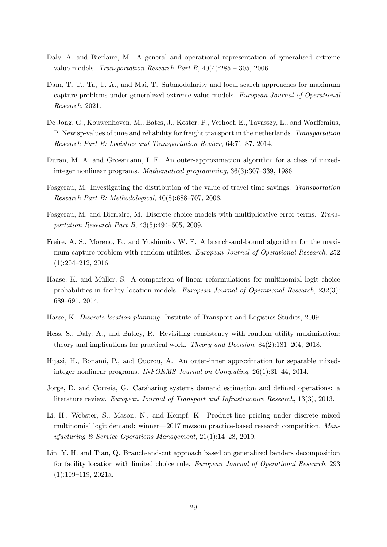- <span id="page-28-12"></span>Daly, A. and Bierlaire, M. A general and operational representation of generalised extreme value models. Transportation Research Part B,  $40(4):285 - 305$ , 2006.
- <span id="page-28-0"></span>Dam, T. T., Ta, T. A., and Mai, T. Submodularity and local search approaches for maximum capture problems under generalized extreme value models. European Journal of Operational Research, 2021.
- <span id="page-28-8"></span>De Jong, G., Kouwenhoven, M., Bates, J., Koster, P., Verhoef, E., Tavasszy, L., and Warffemius, P. New sp-values of time and reliability for freight transport in the netherlands. Transportation Research Part E: Logistics and Transportation Review, 64:71–87, 2014.
- <span id="page-28-13"></span>Duran, M. A. and Grossmann, I. E. An outer-approximation algorithm for a class of mixedinteger nonlinear programs. Mathematical programming, 36(3):307–339, 1986.
- <span id="page-28-9"></span>Fosgerau, M. Investigating the distribution of the value of travel time savings. Transportation Research Part B: Methodological, 40(8):688–707, 2006.
- <span id="page-28-2"></span>Fosgerau, M. and Bierlaire, M. Discrete choice models with multiplicative error terms. Transportation Research Part B, 43(5):494–505, 2009.
- <span id="page-28-6"></span>Freire, A. S., Moreno, E., and Yushimito, W. F. A branch-and-bound algorithm for the maximum capture problem with random utilities. European Journal of Operational Research, 252 (1):204–212, 2016.
- <span id="page-28-5"></span>Haase, K. and Müller, S. A comparison of linear reformulations for multinomial logit choice probabilities in facility location models. European Journal of Operational Research, 232(3): 689–691, 2014.
- <span id="page-28-4"></span>Hasse, K. Discrete location planning. Institute of Transport and Logistics Studies, 2009.
- <span id="page-28-10"></span>Hess, S., Daly, A., and Batley, R. Revisiting consistency with random utility maximisation: theory and implications for practical work. Theory and Decision, 84(2):181–204, 2018.
- <span id="page-28-3"></span>Hijazi, H., Bonami, P., and Ouorou, A. An outer-inner approximation for separable mixedinteger nonlinear programs. INFORMS Journal on Computing, 26(1):31–44, 2014.
- <span id="page-28-1"></span>Jorge, D. and Correia, G. Carsharing systems demand estimation and defined operations: a literature review. European Journal of Transport and Infrastructure Research, 13(3), 2013.
- <span id="page-28-11"></span>Li, H., Webster, S., Mason, N., and Kempf, K. Product-line pricing under discrete mixed multinomial logit demand: winner—2017 m&som practice-based research competition. Manufacturing  $\mathcal C$  Service Operations Management, 21(1):14-28, 2019.
- <span id="page-28-7"></span>Lin, Y. H. and Tian, Q. Branch-and-cut approach based on generalized benders decomposition for facility location with limited choice rule. European Journal of Operational Research, 293 (1):109–119, 2021a.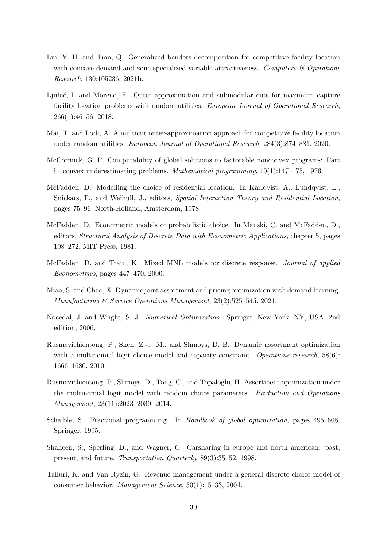- <span id="page-29-5"></span>Lin, Y. H. and Tian, Q. Generalized benders decomposition for competitive facility location with concave demand and zone-specialized variable attractiveness. Computers  $\mathcal{B}$  Operations Research, 130:105236, 2021b.
- <span id="page-29-0"></span>Ljubić, I. and Moreno, E. Outer approximation and submodular cuts for maximum capture facility location problems with random utilities. European Journal of Operational Research, 266(1):46–56, 2018.
- <span id="page-29-1"></span>Mai, T. and Lodi, A. A multicut outer-approximation approach for competitive facility location under random utilities. European Journal of Operational Research, 284(3):874–881, 2020.
- <span id="page-29-13"></span>McCormick, G. P. Computability of global solutions to factorable nonconvex programs: Part i—convex underestimating problems. Mathematical programming, 10(1):147–175, 1976.
- <span id="page-29-3"></span>McFadden, D. Modelling the choice of residential location. In Karlqvist, A., Lundqvist, L., Snickars, F., and Weibull, J., editors, Spatial Interaction Theory and Residential Location, pages 75–96. North-Holland, Amsterdam, 1978.
- <span id="page-29-6"></span>McFadden, D. Econometric models of probabilistic choice. In Manski, C. and McFadden, D., editors, Structural Analysis of Discrete Data with Econometric Applications, chapter 5, pages 198–272. MIT Press, 1981.
- <span id="page-29-4"></span>McFadden, D. and Train, K. Mixed MNL models for discrete response. Journal of applied Econometrics, pages 447–470, 2000.
- <span id="page-29-10"></span>Miao, S. and Chao, X. Dynamic joint assortment and pricing optimization with demand learning. Manufacturing & Service Operations Management, 23(2):525–545, 2021.
- <span id="page-29-11"></span>Nocedal, J. and Wright, S. J. Numerical Optimization. Springer, New York, NY, USA, 2nd edition, 2006.
- <span id="page-29-7"></span>Rusmevichientong, P., Shen, Z.-J. M., and Shmoys, D. B. Dynamic assortment optimization with a multinomial logit choice model and capacity constraint. *Operations research*,  $58(6)$ : 1666–1680, 2010.
- <span id="page-29-8"></span>Rusmevichientong, P., Shmoys, D., Tong, C., and Topaloglu, H. Assortment optimization under the multinomial logit model with random choice parameters. Production and Operations Management, 23(11):2023–2039, 2014.
- <span id="page-29-12"></span>Schaible, S. Fractional programming. In Handbook of global optimization, pages 495–608. Springer, 1995.
- <span id="page-29-2"></span>Shaheen, S., Sperling, D., and Wagner, C. Carsharing in europe and north american: past, present, and future. Transportation Quarterly, 89(3):35–52, 1998.
- <span id="page-29-9"></span>Talluri, K. and Van Ryzin, G. Revenue management under a general discrete choice model of consumer behavior. Management Science, 50(1):15–33, 2004.